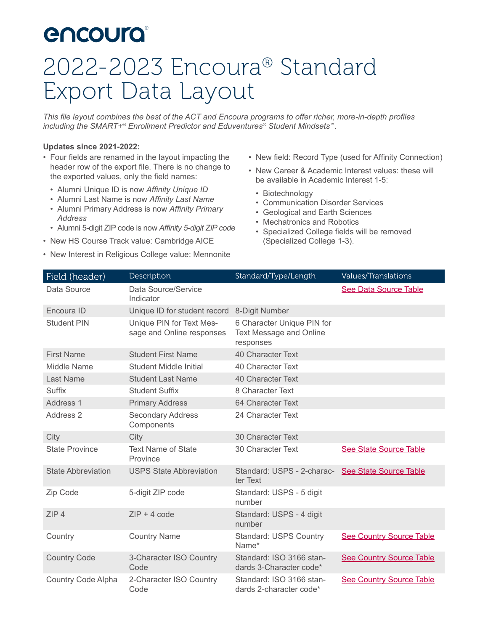# **encoura**

# 2022-2023 Encoura® Standard Export Data Layout

*This file layout combines the best of the ACT and Encoura programs to offer richer, more-in-depth profiles including the SMART+® Enrollment Predictor and Eduventures® Student Mindsets™.*

#### **Updates since 2021-2022:**

- Four fields are renamed in the layout impacting the header row of the export file. There is no change to the exported values, only the field names:
	- Alumni Unique ID is now *Affinity Unique ID*
	- Alumni Last Name is now *Affinity Last Name*
	- Alumni Primary Address is now *Affinity Primary Address*
	- Alumni 5-digit ZIP code is now *Affinity 5-digit ZIP code*
- New HS Course Track value: Cambridge AICE
- New Interest in Religious College value: Mennonite
- New field: Record Type (used for Affinity Connection)
- New Career & Academic Interest values: these will be available in Academic Interest 1-5:
	- Biotechnology
	- Communication Disorder Services
- Geological and Earth Sciences
- Mechatronics and Robotics
- Specialized College fields will be removed (Specialized College 1-3).

<span id="page-0-0"></span>

| Field (header)            | Description                                           | Standard/Type/Length                                                      | <b>Values/Translations</b>      |
|---------------------------|-------------------------------------------------------|---------------------------------------------------------------------------|---------------------------------|
| Data Source               | Data Source/Service<br>Indicator                      |                                                                           | See Data Source Table           |
| Encoura ID                | Unique ID for student record                          | 8-Digit Number                                                            |                                 |
| <b>Student PIN</b>        | Unique PIN for Text Mes-<br>sage and Online responses | 6 Character Unique PIN for<br><b>Text Message and Online</b><br>responses |                                 |
| <b>First Name</b>         | <b>Student First Name</b>                             | 40 Character Text                                                         |                                 |
| Middle Name               | Student Middle Initial                                | 40 Character Text                                                         |                                 |
| Last Name                 | <b>Student Last Name</b>                              | 40 Character Text                                                         |                                 |
| Suffix                    | <b>Student Suffix</b>                                 | 8 Character Text                                                          |                                 |
| Address 1                 | <b>Primary Address</b>                                | 64 Character Text                                                         |                                 |
| Address 2                 | <b>Secondary Address</b><br>Components                | 24 Character Text                                                         |                                 |
| City                      | City                                                  | 30 Character Text                                                         |                                 |
| <b>State Province</b>     | <b>Text Name of State</b><br>Province                 | 30 Character Text                                                         | <b>See State Source Table</b>   |
| <b>State Abbreviation</b> | <b>USPS State Abbreviation</b>                        | Standard: USPS - 2-charac-<br>ter Text                                    | <b>See State Source Table</b>   |
| Zip Code                  | 5-digit ZIP code                                      | Standard: USPS - 5 digit<br>number                                        |                                 |
| ZIP4                      | $ZIP + 4$ code                                        | Standard: USPS - 4 digit<br>number                                        |                                 |
| Country                   | <b>Country Name</b>                                   | <b>Standard: USPS Country</b><br>Name*                                    | <b>See Country Source Table</b> |
| <b>Country Code</b>       | 3-Character ISO Country<br>Code                       | Standard: ISO 3166 stan-<br>dards 3-Character code*                       | <b>See Country Source Table</b> |
| Country Code Alpha        | 2-Character ISO Country<br>Code                       | Standard: ISO 3166 stan-<br>dards 2-character code*                       | <b>See Country Source Table</b> |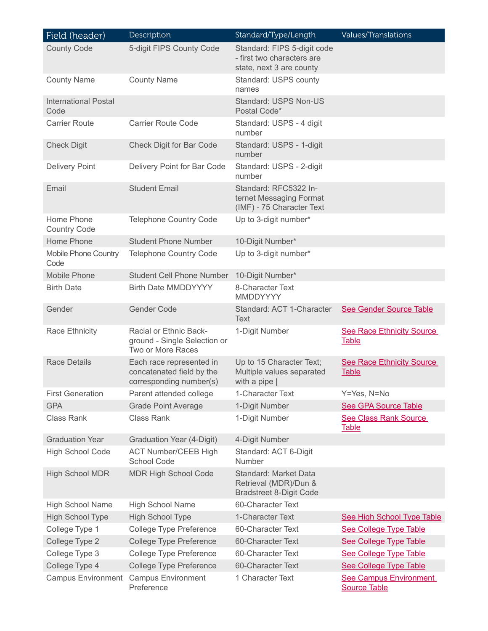| Field (header)                      | Description                                                                      | Standard/Type/Length                                                                  | <b>Values/Translations</b>                           |
|-------------------------------------|----------------------------------------------------------------------------------|---------------------------------------------------------------------------------------|------------------------------------------------------|
| <b>County Code</b>                  | 5-digit FIPS County Code                                                         | Standard: FIPS 5-digit code<br>- first two characters are<br>state, next 3 are county |                                                      |
| <b>County Name</b>                  | <b>County Name</b>                                                               | Standard: USPS county<br>names                                                        |                                                      |
| <b>International Postal</b><br>Code |                                                                                  | Standard: USPS Non-US<br>Postal Code*                                                 |                                                      |
| <b>Carrier Route</b>                | <b>Carrier Route Code</b>                                                        | Standard: USPS - 4 digit<br>number                                                    |                                                      |
| <b>Check Digit</b>                  | Check Digit for Bar Code                                                         | Standard: USPS - 1-digit<br>number                                                    |                                                      |
| <b>Delivery Point</b>               | Delivery Point for Bar Code                                                      | Standard: USPS - 2-digit<br>number                                                    |                                                      |
| Email                               | <b>Student Email</b>                                                             | Standard: RFC5322 In-<br>ternet Messaging Format<br>(IMF) - 75 Character Text         |                                                      |
| Home Phone<br><b>Country Code</b>   | <b>Telephone Country Code</b>                                                    | Up to 3-digit number*                                                                 |                                                      |
| Home Phone                          | <b>Student Phone Number</b>                                                      | 10-Digit Number*                                                                      |                                                      |
| <b>Mobile Phone Country</b><br>Code | <b>Telephone Country Code</b>                                                    | Up to 3-digit number*                                                                 |                                                      |
| Mobile Phone                        | <b>Student Cell Phone Number</b>                                                 | 10-Digit Number*                                                                      |                                                      |
| <b>Birth Date</b>                   | <b>Birth Date MMDDYYYY</b>                                                       | 8-Character Text<br>MMDDYYYY                                                          |                                                      |
| Gender                              | Gender Code                                                                      | Standard: ACT 1-Character<br><b>Text</b>                                              | See Gender Source Table                              |
| <b>Race Ethnicity</b>               | Racial or Ethnic Back-<br>ground - Single Selection or<br>Two or More Races      | 1-Digit Number                                                                        | <b>See Race Ethnicity Source</b><br><b>Table</b>     |
| <b>Race Details</b>                 | Each race represented in<br>concatenated field by the<br>corresponding number(s) | Up to 15 Character Text;<br>Multiple values separated<br>with a pipe $ $              | <b>See Race Ethnicity Source</b><br><b>Table</b>     |
| <b>First Generation</b>             | Parent attended college                                                          | 1-Character Text                                                                      | Y=Yes, N=No                                          |
| <b>GPA</b>                          | <b>Grade Point Average</b>                                                       | 1-Digit Number                                                                        | <b>See GPA Source Table</b>                          |
| <b>Class Rank</b>                   | <b>Class Rank</b>                                                                | 1-Digit Number                                                                        | See Class Rank Source<br><b>Table</b>                |
| <b>Graduation Year</b>              | Graduation Year (4-Digit)                                                        | 4-Digit Number                                                                        |                                                      |
| <b>High School Code</b>             | <b>ACT Number/CEEB High</b><br>School Code                                       | Standard: ACT 6-Digit<br>Number                                                       |                                                      |
| <b>High School MDR</b>              | <b>MDR High School Code</b>                                                      | Standard: Market Data<br>Retrieval (MDR)/Dun &<br><b>Bradstreet 8-Digit Code</b>      |                                                      |
| <b>High School Name</b>             | <b>High School Name</b>                                                          | 60-Character Text                                                                     |                                                      |
| <b>High School Type</b>             | <b>High School Type</b>                                                          | 1-Character Text                                                                      | See High School Type Table                           |
| College Type 1                      | College Type Preference                                                          | 60-Character Text                                                                     | <b>See College Type Table</b>                        |
| College Type 2                      | <b>College Type Preference</b>                                                   | 60-Character Text                                                                     | <b>See College Type Table</b>                        |
| College Type 3                      | <b>College Type Preference</b>                                                   | 60-Character Text                                                                     | <b>See College Type Table</b>                        |
| College Type 4                      | <b>College Type Preference</b>                                                   | 60-Character Text                                                                     | <b>See College Type Table</b>                        |
| <b>Campus Environment</b>           | <b>Campus Environment</b><br>Preference                                          | 1 Character Text                                                                      | <b>See Campus Environment</b><br><b>Source Table</b> |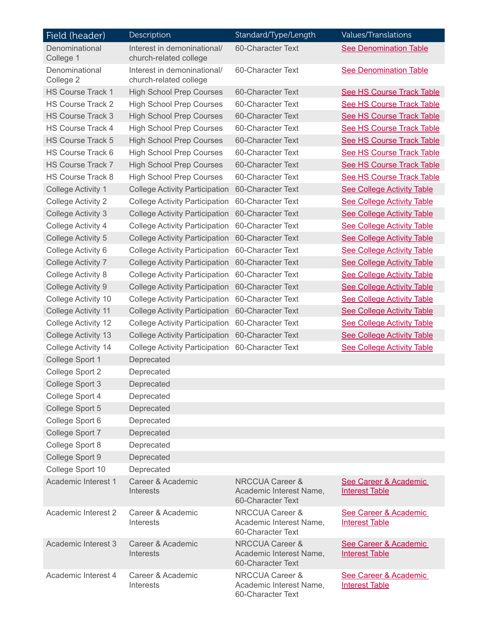| Field (header)              | Description                                           | Standard/Type/Length                                                       | Values/Translations                            |
|-----------------------------|-------------------------------------------------------|----------------------------------------------------------------------------|------------------------------------------------|
| Denominational<br>College 1 | Interest in demoninational/<br>church-related college | 60-Character Text                                                          | <b>See Denomination Table</b>                  |
| Denominational<br>College 2 | Interest in demoninational/<br>church-related college | 60-Character Text                                                          | <b>See Denomination Table</b>                  |
| <b>HS Course Track 1</b>    | <b>High School Prep Courses</b>                       | 60-Character Text                                                          | <b>See HS Course Track Table</b>               |
| <b>HS Course Track 2</b>    | <b>High School Prep Courses</b>                       | 60-Character Text                                                          | <b>See HS Course Track Table</b>               |
| <b>HS Course Track 3</b>    | <b>High School Prep Courses</b>                       | 60-Character Text                                                          | <b>See HS Course Track Table</b>               |
| <b>HS Course Track 4</b>    | <b>High School Prep Courses</b>                       | 60-Character Text                                                          | <b>See HS Course Track Table</b>               |
| <b>HS Course Track 5</b>    | <b>High School Prep Courses</b>                       | 60-Character Text                                                          | See HS Course Track Table                      |
| HS Course Track 6           | <b>High School Prep Courses</b>                       | 60-Character Text                                                          | <b>See HS Course Track Table</b>               |
| <b>HS Course Track 7</b>    | <b>High School Prep Courses</b>                       | 60-Character Text                                                          | <b>See HS Course Track Table</b>               |
| HS Course Track 8           | <b>High School Prep Courses</b>                       | 60-Character Text                                                          | <b>See HS Course Track Table</b>               |
| College Activity 1          | <b>College Activity Participation</b>                 | 60-Character Text                                                          | <b>See College Activity Table</b>              |
| College Activity 2          | <b>College Activity Participation</b>                 | 60-Character Text                                                          | <b>See College Activity Table</b>              |
| <b>College Activity 3</b>   | <b>College Activity Participation</b>                 | 60-Character Text                                                          | <b>See College Activity Table</b>              |
| College Activity 4          | <b>College Activity Participation</b>                 | 60-Character Text                                                          | <b>See College Activity Table</b>              |
| College Activity 5          | <b>College Activity Participation</b>                 | 60-Character Text                                                          | <b>See College Activity Table</b>              |
| College Activity 6          | <b>College Activity Participation</b>                 | 60-Character Text                                                          | <b>See College Activity Table</b>              |
| <b>College Activity 7</b>   | <b>College Activity Participation</b>                 | 60-Character Text                                                          | <b>See College Activity Table</b>              |
| <b>College Activity 8</b>   | <b>College Activity Participation</b>                 | 60-Character Text                                                          | <b>See College Activity Table</b>              |
| College Activity 9          | <b>College Activity Participation</b>                 | 60-Character Text                                                          | <b>See College Activity Table</b>              |
| College Activity 10         | <b>College Activity Participation</b>                 | 60-Character Text                                                          | <b>See College Activity Table</b>              |
| College Activity 11         | <b>College Activity Participation</b>                 | 60-Character Text                                                          | <b>See College Activity Table</b>              |
| College Activity 12         | <b>College Activity Participation</b>                 | 60-Character Text                                                          | <b>See College Activity Table</b>              |
| College Activity 13         | <b>College Activity Participation</b>                 | 60-Character Text                                                          | <b>See College Activity Table</b>              |
| College Activity 14         | <b>College Activity Participation</b>                 | 60-Character Text                                                          | <b>See College Activity Table</b>              |
| College Sport 1             | Deprecated                                            |                                                                            |                                                |
| College Sport 2             | Deprecated                                            |                                                                            |                                                |
| College Sport 3             | Deprecated                                            |                                                                            |                                                |
| College Sport 4             | Deprecated                                            |                                                                            |                                                |
| College Sport 5             | Deprecated                                            |                                                                            |                                                |
| College Sport 6             | Deprecated                                            |                                                                            |                                                |
| College Sport 7             | Deprecated                                            |                                                                            |                                                |
| College Sport 8             | Deprecated                                            |                                                                            |                                                |
| College Sport 9             | Deprecated                                            |                                                                            |                                                |
| College Sport 10            | Deprecated                                            |                                                                            |                                                |
| Academic Interest 1         | Career & Academic<br><b>Interests</b>                 | <b>NRCCUA Career &amp;</b><br>Academic Interest Name,<br>60-Character Text | See Career & Academic<br><b>Interest Table</b> |
| Academic Interest 2         | Career & Academic<br><b>Interests</b>                 | NRCCUA Career &<br>Academic Interest Name,<br>60-Character Text            | See Career & Academic<br><b>Interest Table</b> |
| Academic Interest 3         | Career & Academic<br><b>Interests</b>                 | <b>NRCCUA Career &amp;</b><br>Academic Interest Name,<br>60-Character Text | See Career & Academic<br><b>Interest Table</b> |
| Academic Interest 4         | Career & Academic<br>Interests                        | NRCCUA Career &<br>Academic Interest Name,<br>60-Character Text            | See Career & Academic<br><b>Interest Table</b> |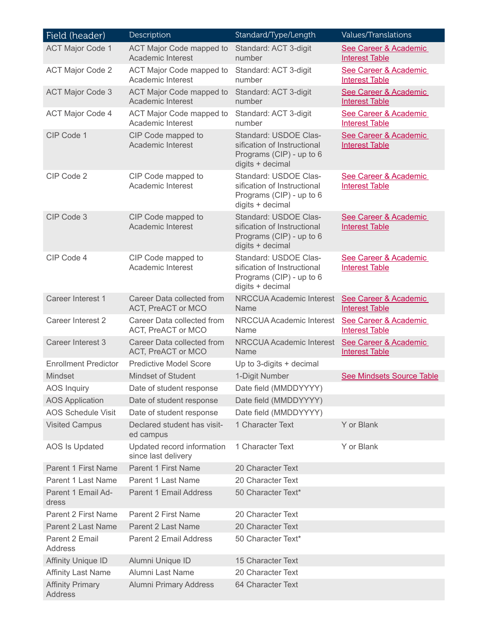| Field (header)                     | Description                                       | Standard/Type/Length                                                                                 | <b>Values/Translations</b>                     |
|------------------------------------|---------------------------------------------------|------------------------------------------------------------------------------------------------------|------------------------------------------------|
| <b>ACT Major Code 1</b>            | ACT Major Code mapped to<br>Academic Interest     | Standard: ACT 3-digit<br>number                                                                      | See Career & Academic<br><b>Interest Table</b> |
| <b>ACT Major Code 2</b>            | ACT Major Code mapped to<br>Academic Interest     | Standard: ACT 3-digit<br>number                                                                      | See Career & Academic<br><b>Interest Table</b> |
| <b>ACT Major Code 3</b>            | ACT Major Code mapped to<br>Academic Interest     | Standard: ACT 3-digit<br>number                                                                      | See Career & Academic<br><b>Interest Table</b> |
| <b>ACT Major Code 4</b>            | ACT Major Code mapped to<br>Academic Interest     | Standard: ACT 3-digit<br>number                                                                      | See Career & Academic<br><b>Interest Table</b> |
| CIP Code 1                         | CIP Code mapped to<br><b>Academic Interest</b>    | Standard: USDOE Clas-<br>sification of Instructional<br>Programs (CIP) - up to 6<br>digits + decimal | See Career & Academic<br><b>Interest Table</b> |
| CIP Code 2                         | CIP Code mapped to<br>Academic Interest           | Standard: USDOE Clas-<br>sification of Instructional<br>Programs (CIP) - up to 6<br>digits + decimal | See Career & Academic<br><b>Interest Table</b> |
| CIP Code 3                         | CIP Code mapped to<br>Academic Interest           | Standard: USDOE Clas-<br>sification of Instructional<br>Programs (CIP) - up to 6<br>digits + decimal | See Career & Academic<br><b>Interest Table</b> |
| CIP Code 4                         | CIP Code mapped to<br><b>Academic Interest</b>    | Standard: USDOE Clas-<br>sification of Instructional<br>Programs (CIP) - up to 6<br>digits + decimal | See Career & Academic<br><b>Interest Table</b> |
| Career Interest 1                  | Career Data collected from<br>ACT, PreACT or MCO  | <b>NRCCUA Academic Interest</b><br>Name                                                              | See Career & Academic<br><b>Interest Table</b> |
| Career Interest 2                  | Career Data collected from<br>ACT, PreACT or MCO  | NRCCUA Academic Interest<br>Name                                                                     | See Career & Academic<br><b>Interest Table</b> |
| Career Interest 3                  | Career Data collected from<br>ACT, PreACT or MCO  | <b>NRCCUA Academic Interest</b><br>Name                                                              | See Career & Academic<br><b>Interest Table</b> |
| <b>Enrollment Predictor</b>        | <b>Predictive Model Score</b>                     | Up to 3-digits + decimal                                                                             |                                                |
| <b>Mindset</b>                     | Mindset of Student                                | 1-Digit Number                                                                                       | <b>See Mindsets Source Table</b>               |
| <b>AOS Inquiry</b>                 | Date of student response                          | Date field (MMDDYYYY)                                                                                |                                                |
| <b>AOS Application</b>             | Date of student response                          | Date field (MMDDYYYY)                                                                                |                                                |
| <b>AOS Schedule Visit</b>          | Date of student response                          | Date field (MMDDYYYY)                                                                                |                                                |
| <b>Visited Campus</b>              | Declared student has visit-<br>ed campus          | 1 Character Text                                                                                     | Y or Blank                                     |
| AOS Is Updated                     | Updated record information<br>since last delivery | 1 Character Text                                                                                     | Y or Blank                                     |
| Parent 1 First Name                | Parent 1 First Name                               | 20 Character Text                                                                                    |                                                |
| Parent 1 Last Name                 | Parent 1 Last Name                                | 20 Character Text                                                                                    |                                                |
| Parent 1 Email Ad-<br>dress        | <b>Parent 1 Email Address</b>                     | 50 Character Text*                                                                                   |                                                |
| Parent 2 First Name                | Parent 2 First Name                               | 20 Character Text                                                                                    |                                                |
| Parent 2 Last Name                 | <b>Parent 2 Last Name</b>                         | 20 Character Text                                                                                    |                                                |
| Parent 2 Email<br>Address          | Parent 2 Email Address                            | 50 Character Text*                                                                                   |                                                |
| <b>Affinity Unique ID</b>          | Alumni Unique ID                                  | 15 Character Text                                                                                    |                                                |
| <b>Affinity Last Name</b>          | Alumni Last Name                                  | 20 Character Text                                                                                    |                                                |
| <b>Affinity Primary</b><br>Address | <b>Alumni Primary Address</b>                     | 64 Character Text                                                                                    |                                                |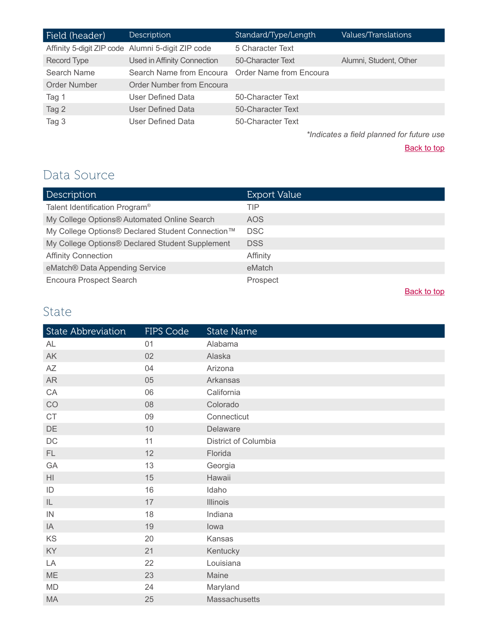| Field (header) | Description                                       | Standard/Type/Length | <b>Values/Translations</b> |
|----------------|---------------------------------------------------|----------------------|----------------------------|
|                | Affinity 5-digit ZIP code Alumni 5-digit ZIP code | 5 Character Text     |                            |
| Record Type    | Used in Affinity Connection                       | 50-Character Text    | Alumni, Student, Other     |
| Search Name    | Search Name from Encoura Order Name from Encoura  |                      |                            |
| Order Number   | <b>Order Number from Encoura</b>                  |                      |                            |
| Tag 1          | User Defined Data                                 | 50-Character Text    |                            |
| Tag 2          | User Defined Data                                 | 50-Character Text    |                            |
| Tag 3          | User Defined Data                                 | 50-Character Text    |                            |

*\*Indicates a field planned for future use*

**[Back to top](#page-0-0)** 

## <span id="page-4-0"></span>Data Source

| Description                                      | <b>Export Value</b> |
|--------------------------------------------------|---------------------|
| Talent Identification Program <sup>®</sup>       | TIP                 |
| My College Options® Automated Online Search      | AOS                 |
| My College Options® Declared Student Connection™ | <b>DSC</b>          |
| My College Options® Declared Student Supplement  | <b>DSS</b>          |
| <b>Affinity Connection</b>                       | Affinity            |
| eMatch® Data Appending Service                   | eMatch              |
| <b>Encoura Prospect Search</b>                   | Prospect            |
|                                                  | Back to top         |

#### <span id="page-4-1"></span>State

| State Abbreviation     | FIPS Code | <b>State Name</b>    |
|------------------------|-----------|----------------------|
| AL                     | 01        | Alabama              |
| $\mathsf{AK}$          | 02        | Alaska               |
| AZ                     | 04        | Arizona              |
| <b>AR</b>              | 05        | Arkansas             |
| CA                     | 06        | California           |
| CO                     | 08        | Colorado             |
| CT                     | 09        | Connecticut          |
| $\mathsf{D}\mathsf{E}$ | 10        | Delaware             |
| $\mathsf{DC}$          | 11        | District of Columbia |
| FL.                    | 12        | Florida              |
| GA                     | 13        | Georgia              |
| H                      | 15        | Hawaii               |
| ID                     | 16        | Idaho                |
| $\mathsf{IL}$          | 17        | <b>Illinois</b>      |
| IN                     | 18        | Indiana              |
| IA                     | 19        | lowa                 |
| KS                     | 20        | Kansas               |
| KY                     | 21        | Kentucky             |
| LA                     | 22        | Louisiana            |
| ME                     | 23        | Maine                |
| MD                     | 24        | Maryland             |
| MA                     | 25        | Massachusetts        |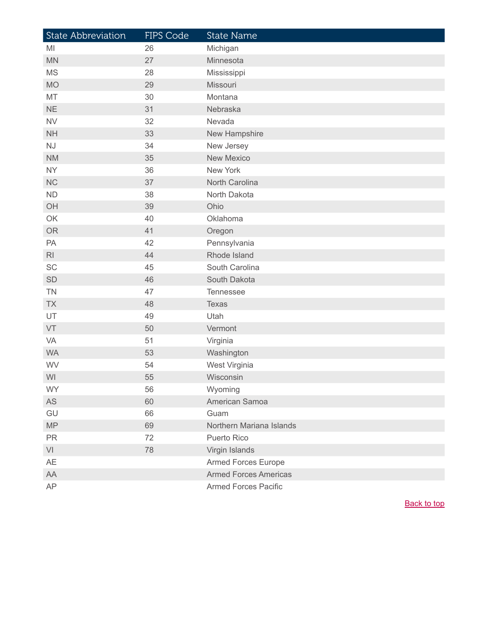| State Abbreviation | FIPS Code | <b>State Name</b>            |
|--------------------|-----------|------------------------------|
| MI                 | 26        | Michigan                     |
| <b>MN</b>          | 27        | Minnesota                    |
| <b>MS</b>          | 28        | Mississippi                  |
| <b>MO</b>          | 29        | Missouri                     |
| MT                 | 30        | Montana                      |
| <b>NE</b>          | 31        | Nebraska                     |
| <b>NV</b>          | 32        | Nevada                       |
| <b>NH</b>          | 33        | New Hampshire                |
| NJ                 | 34        | New Jersey                   |
| <b>NM</b>          | 35        | <b>New Mexico</b>            |
| <b>NY</b>          | 36        | New York                     |
| <b>NC</b>          | 37        | North Carolina               |
| ND                 | 38        | North Dakota                 |
| OH                 | 39        | Ohio                         |
| OK                 | 40        | Oklahoma                     |
| <b>OR</b>          | 41        | Oregon                       |
| PA                 | 42        | Pennsylvania                 |
| R <sub>l</sub>     | 44        | Rhode Island                 |
| SC                 | 45        | South Carolina               |
| SD                 | 46        | South Dakota                 |
| <b>TN</b>          | 47        | Tennessee                    |
| <b>TX</b>          | 48        | <b>Texas</b>                 |
| UT                 | 49        | Utah                         |
| VT                 | 50        | Vermont                      |
| VA                 | 51        | Virginia                     |
| <b>WA</b>          | 53        | Washington                   |
| WV                 | 54        | West Virginia                |
| WI                 | 55        | Wisconsin                    |
| <b>WY</b>          | 56        | Wyoming                      |
| AS                 | 60        | American Samoa               |
| GU                 | 66        | Guam                         |
| MP                 | 69        | Northern Mariana Islands     |
| <b>PR</b>          | 72        | Puerto Rico                  |
| VI                 | 78        | Virgin Islands               |
| AE                 |           | <b>Armed Forces Europe</b>   |
| AA                 |           | <b>Armed Forces Americas</b> |
| AP                 |           | <b>Armed Forces Pacific</b>  |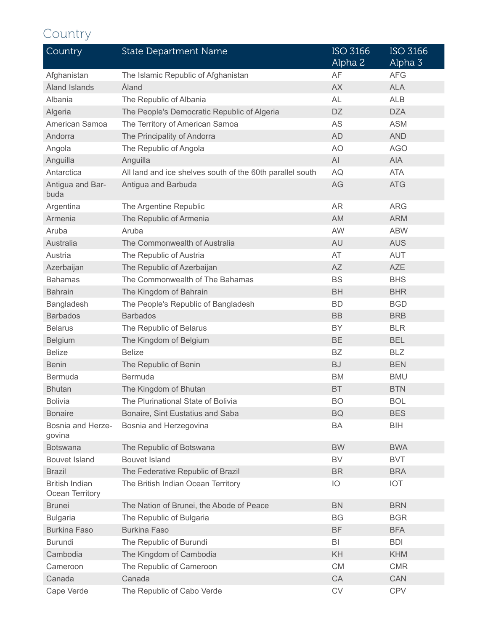# <span id="page-6-0"></span>Country

| Country                                  | <b>State Department Name</b>                              | ISO 3166<br>Alpha 2 | <b>ISO 3166</b><br>Alpha 3 |
|------------------------------------------|-----------------------------------------------------------|---------------------|----------------------------|
| Afghanistan                              | The Islamic Republic of Afghanistan                       | AF                  | <b>AFG</b>                 |
| Åland Islands                            | Åland                                                     | <b>AX</b>           | <b>ALA</b>                 |
| Albania                                  | The Republic of Albania                                   | <b>AL</b>           | <b>ALB</b>                 |
| Algeria                                  | The People's Democratic Republic of Algeria               | DZ.                 | <b>DZA</b>                 |
| American Samoa                           | The Territory of American Samoa                           | AS                  | <b>ASM</b>                 |
| Andorra                                  | The Principality of Andorra                               | <b>AD</b>           | <b>AND</b>                 |
| Angola                                   | The Republic of Angola                                    | AO                  | <b>AGO</b>                 |
| Anguilla                                 | Anguilla                                                  | AI                  | <b>AIA</b>                 |
| Antarctica                               | All land and ice shelves south of the 60th parallel south | AQ                  | <b>ATA</b>                 |
| Antigua and Bar-<br>buda                 | Antigua and Barbuda                                       | AG                  | <b>ATG</b>                 |
| Argentina                                | The Argentine Republic                                    | <b>AR</b>           | <b>ARG</b>                 |
| Armenia                                  | The Republic of Armenia                                   | AM                  | <b>ARM</b>                 |
| Aruba                                    | Aruba                                                     | AW                  | <b>ABW</b>                 |
| Australia                                | The Commonwealth of Australia                             | AU                  | <b>AUS</b>                 |
| Austria                                  | The Republic of Austria                                   | AT                  | <b>AUT</b>                 |
| Azerbaijan                               | The Republic of Azerbaijan                                | <b>AZ</b>           | <b>AZE</b>                 |
| <b>Bahamas</b>                           | The Commonwealth of The Bahamas                           | <b>BS</b>           | <b>BHS</b>                 |
| <b>Bahrain</b>                           | The Kingdom of Bahrain                                    | <b>BH</b>           | <b>BHR</b>                 |
| Bangladesh                               | The People's Republic of Bangladesh                       | <b>BD</b>           | <b>BGD</b>                 |
| <b>Barbados</b>                          | <b>Barbados</b>                                           | <b>BB</b>           | <b>BRB</b>                 |
| <b>Belarus</b>                           | The Republic of Belarus                                   | <b>BY</b>           | <b>BLR</b>                 |
| <b>Belgium</b>                           | The Kingdom of Belgium                                    | <b>BE</b>           | <b>BEL</b>                 |
| <b>Belize</b>                            | <b>Belize</b>                                             | <b>BZ</b>           | <b>BLZ</b>                 |
| <b>Benin</b>                             | The Republic of Benin                                     | <b>BJ</b>           | <b>BEN</b>                 |
| <b>Bermuda</b>                           | <b>Bermuda</b>                                            | <b>BM</b>           | <b>BMU</b>                 |
| <b>Bhutan</b>                            | The Kingdom of Bhutan                                     | <b>BT</b>           | <b>BTN</b>                 |
| <b>Bolivia</b>                           | The Plurinational State of Bolivia                        | <b>BO</b>           | <b>BOL</b>                 |
| <b>Bonaire</b>                           | Bonaire, Sint Eustatius and Saba                          | <b>BQ</b>           | <b>BES</b>                 |
| Bosnia and Herze-<br>govina              | Bosnia and Herzegovina                                    | BA                  | <b>BIH</b>                 |
| <b>Botswana</b>                          | The Republic of Botswana                                  | <b>BW</b>           | <b>BWA</b>                 |
| <b>Bouvet Island</b>                     | <b>Bouvet Island</b>                                      | BV                  | <b>BVT</b>                 |
| <b>Brazil</b>                            | The Federative Republic of Brazil                         | <b>BR</b>           | <b>BRA</b>                 |
| <b>British Indian</b><br>Ocean Territory | The British Indian Ocean Territory                        | IO                  | <b>IOT</b>                 |
| <b>Brunei</b>                            | The Nation of Brunei, the Abode of Peace                  | <b>BN</b>           | <b>BRN</b>                 |
| <b>Bulgaria</b>                          | The Republic of Bulgaria                                  | <b>BG</b>           | <b>BGR</b>                 |
| <b>Burkina Faso</b>                      | <b>Burkina Faso</b>                                       | <b>BF</b>           | <b>BFA</b>                 |
| <b>Burundi</b>                           | The Republic of Burundi                                   | BI                  | <b>BDI</b>                 |
| Cambodia                                 | The Kingdom of Cambodia                                   | KH                  | <b>KHM</b>                 |
| Cameroon                                 | The Republic of Cameroon                                  | <b>CM</b>           | <b>CMR</b>                 |
| Canada                                   | Canada                                                    | CA                  | CAN                        |
| Cape Verde                               | The Republic of Cabo Verde                                | ${\rm CV}$          | <b>CPV</b>                 |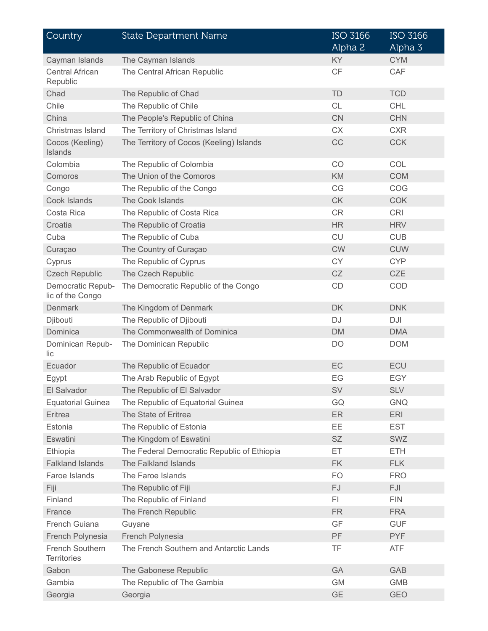| Country                               | <b>State Department Name</b>                | <b>ISO 3166</b><br>Alpha 2 | <b>ISO 3166</b><br>Alpha 3 |
|---------------------------------------|---------------------------------------------|----------------------------|----------------------------|
| Cayman Islands                        | The Cayman Islands                          | <b>KY</b>                  | <b>CYM</b>                 |
| <b>Central African</b><br>Republic    | The Central African Republic                | CF                         | CAF                        |
| Chad                                  | The Republic of Chad                        | <b>TD</b>                  | <b>TCD</b>                 |
| Chile                                 | The Republic of Chile                       | <b>CL</b>                  | <b>CHL</b>                 |
| China                                 | The People's Republic of China              | CN                         | <b>CHN</b>                 |
| Christmas Island                      | The Territory of Christmas Island           | <b>CX</b>                  | <b>CXR</b>                 |
| Cocos (Keeling)<br>Islands            | The Territory of Cocos (Keeling) Islands    | CC                         | <b>CCK</b>                 |
| Colombia                              | The Republic of Colombia                    | CO                         | COL                        |
| Comoros                               | The Union of the Comoros                    | KM                         | <b>COM</b>                 |
| Congo                                 | The Republic of the Congo                   | CG                         | COG                        |
| Cook Islands                          | The Cook Islands                            | <b>CK</b>                  | <b>COK</b>                 |
| Costa Rica                            | The Republic of Costa Rica                  | <b>CR</b>                  | <b>CRI</b>                 |
| Croatia                               | The Republic of Croatia                     | <b>HR</b>                  | <b>HRV</b>                 |
| Cuba                                  | The Republic of Cuba                        | <b>CU</b>                  | <b>CUB</b>                 |
| Curaçao                               | The Country of Curaçao                      | <b>CW</b>                  | <b>CUW</b>                 |
| Cyprus                                | The Republic of Cyprus                      | <b>CY</b>                  | <b>CYP</b>                 |
| <b>Czech Republic</b>                 | The Czech Republic                          | CZ                         | <b>CZE</b>                 |
| Democratic Repub-<br>lic of the Congo | The Democratic Republic of the Congo        | CD                         | COD                        |
| <b>Denmark</b>                        | The Kingdom of Denmark                      | <b>DK</b>                  | <b>DNK</b>                 |
| Djibouti                              | The Republic of Djibouti                    | DJ                         | DJI                        |
| Dominica                              | The Commonwealth of Dominica                | <b>DM</b>                  | <b>DMA</b>                 |
| Dominican Repub-<br>lic               | The Dominican Republic                      | DO                         | <b>DOM</b>                 |
| Ecuador                               | The Republic of Ecuador                     | EC                         | ECU                        |
| Egypt                                 | The Arab Republic of Egypt                  | EG                         | <b>EGY</b>                 |
| El Salvador                           | The Republic of El Salvador                 | <b>SV</b>                  | <b>SLV</b>                 |
| <b>Equatorial Guinea</b>              | The Republic of Equatorial Guinea           | GQ                         | <b>GNQ</b>                 |
| Eritrea                               | The State of Eritrea                        | <b>ER</b>                  | <b>ERI</b>                 |
| Estonia                               | The Republic of Estonia                     | <b>EE</b>                  | <b>EST</b>                 |
| Eswatini                              | The Kingdom of Eswatini                     | <b>SZ</b>                  | <b>SWZ</b>                 |
| Ethiopia                              | The Federal Democratic Republic of Ethiopia | ET.                        | <b>ETH</b>                 |
| <b>Falkland Islands</b>               | The Falkland Islands                        | <b>FK</b>                  | <b>FLK</b>                 |
| Faroe Islands                         | The Faroe Islands                           | <b>FO</b>                  | <b>FRO</b>                 |
| Fiji                                  | The Republic of Fiji                        | FJ                         | <b>FJI</b>                 |
| Finland                               | The Republic of Finland                     | FI.                        | <b>FIN</b>                 |
| France                                | The French Republic                         | <b>FR</b>                  | <b>FRA</b>                 |
| French Guiana                         | Guyane                                      | GF                         | <b>GUF</b>                 |
| French Polynesia                      | French Polynesia                            | PF                         | <b>PYF</b>                 |
| French Southern<br><b>Territories</b> | The French Southern and Antarctic Lands     | <b>TF</b>                  | <b>ATF</b>                 |
| Gabon                                 | The Gabonese Republic                       | GA                         | <b>GAB</b>                 |
| Gambia                                | The Republic of The Gambia                  | <b>GM</b>                  | <b>GMB</b>                 |
| Georgia                               | Georgia                                     | GE                         | <b>GEO</b>                 |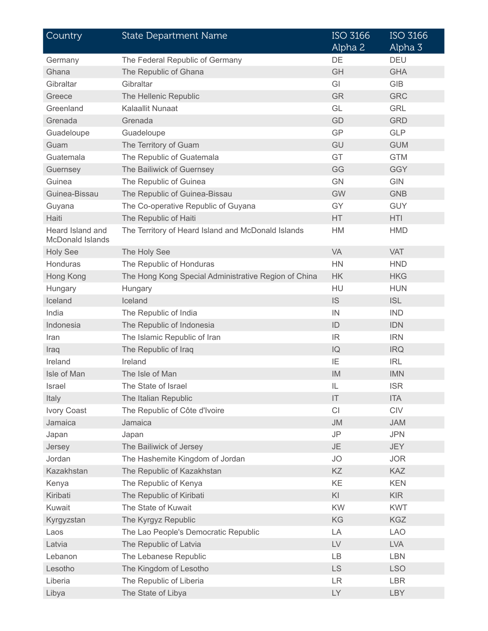| Country                              | <b>State Department Name</b>                         | <b>ISO 3166</b><br>Alpha 2 | <b>ISO 3166</b><br>Alpha 3 |
|--------------------------------------|------------------------------------------------------|----------------------------|----------------------------|
| Germany                              | The Federal Republic of Germany                      | DE                         | <b>DEU</b>                 |
| Ghana                                | The Republic of Ghana                                | GH                         | <b>GHA</b>                 |
| Gibraltar                            | Gibraltar                                            | GI                         | <b>GIB</b>                 |
| Greece                               | The Hellenic Republic                                | <b>GR</b>                  | <b>GRC</b>                 |
| Greenland                            | Kalaallit Nunaat                                     | GL                         | <b>GRL</b>                 |
| Grenada                              | Grenada                                              | GD                         | <b>GRD</b>                 |
| Guadeloupe                           | Guadeloupe                                           | GP                         | <b>GLP</b>                 |
| Guam                                 | The Territory of Guam                                | GU                         | <b>GUM</b>                 |
| Guatemala                            | The Republic of Guatemala                            | GT                         | <b>GTM</b>                 |
| Guernsey                             | The Bailiwick of Guernsey                            | GG                         | <b>GGY</b>                 |
| Guinea                               | The Republic of Guinea                               | <b>GN</b>                  | <b>GIN</b>                 |
| Guinea-Bissau                        | The Republic of Guinea-Bissau                        | <b>GW</b>                  | <b>GNB</b>                 |
| Guyana                               | The Co-operative Republic of Guyana                  | GY                         | <b>GUY</b>                 |
| Haiti                                | The Republic of Haiti                                | <b>HT</b>                  | <b>HTI</b>                 |
| Heard Island and<br>McDonald Islands | The Territory of Heard Island and McDonald Islands   | HM                         | <b>HMD</b>                 |
| <b>Holy See</b>                      | The Holy See                                         | VA                         | <b>VAT</b>                 |
| Honduras                             | The Republic of Honduras                             | <b>HN</b>                  | <b>HND</b>                 |
| Hong Kong                            | The Hong Kong Special Administrative Region of China | <b>HK</b>                  | <b>HKG</b>                 |
| Hungary                              | Hungary                                              | HU                         | <b>HUN</b>                 |
| Iceland                              | Iceland                                              | IS                         | <b>ISL</b>                 |
| India                                | The Republic of India                                | IN                         | <b>IND</b>                 |
| Indonesia                            | The Republic of Indonesia                            | ID                         | <b>IDN</b>                 |
| Iran                                 | The Islamic Republic of Iran                         | IR                         | <b>IRN</b>                 |
| Iraq                                 | The Republic of Iraq                                 | IQ                         | <b>IRQ</b>                 |
| Ireland                              | Ireland                                              | IE                         | <b>IRL</b>                 |
| Isle of Man                          | The Isle of Man                                      | IM                         | <b>IMN</b>                 |
| Israel                               | The State of Israel                                  | IL                         | <b>ISR</b>                 |
| Italy                                | The Italian Republic                                 | IT                         | <b>ITA</b>                 |
| <b>Ivory Coast</b>                   | The Republic of Côte d'Ivoire                        | CI                         | CIV                        |
| Jamaica                              | Jamaica                                              | <b>JM</b>                  | <b>JAM</b>                 |
| Japan                                | Japan                                                | JP                         | <b>JPN</b>                 |
| Jersey                               | The Bailiwick of Jersey                              | <b>JE</b>                  | <b>JEY</b>                 |
| Jordan                               | The Hashemite Kingdom of Jordan                      | <b>JO</b>                  | <b>JOR</b>                 |
| Kazakhstan                           | The Republic of Kazakhstan                           | KZ                         | <b>KAZ</b>                 |
| Kenya                                | The Republic of Kenya                                | KE                         | <b>KEN</b>                 |
| Kiribati                             | The Republic of Kiribati                             | KI                         | <b>KIR</b>                 |
| Kuwait                               | The State of Kuwait                                  | KW                         | <b>KWT</b>                 |
| Kyrgyzstan                           | The Kyrgyz Republic                                  | KG                         | <b>KGZ</b>                 |
| Laos                                 | The Lao People's Democratic Republic                 | LA                         | <b>LAO</b>                 |
| Latvia                               | The Republic of Latvia                               | ${\sf L}{\sf V}$           | <b>LVA</b>                 |
| Lebanon                              | The Lebanese Republic                                | LB                         | <b>LBN</b>                 |
| Lesotho                              | The Kingdom of Lesotho                               | LS                         | <b>LSO</b>                 |
| Liberia                              | The Republic of Liberia                              | <b>LR</b>                  | <b>LBR</b>                 |
| Libya                                | The State of Libya                                   | LY                         | <b>LBY</b>                 |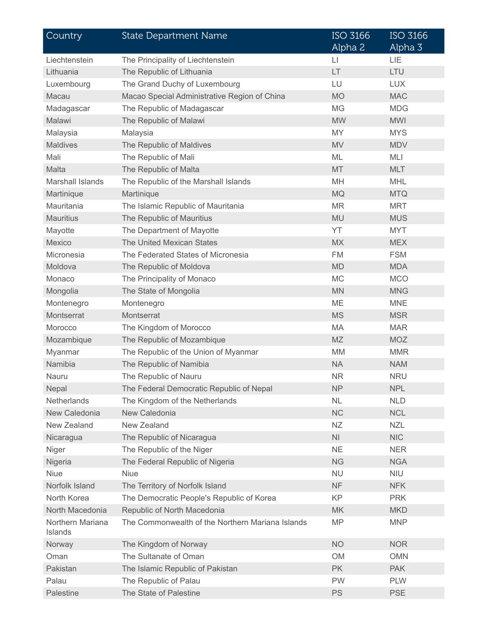| Country                     | <b>State Department Name</b>                     | <b>ISO 3166</b><br>Alpha 2 | <b>ISO 3166</b><br>Alpha 3 |
|-----------------------------|--------------------------------------------------|----------------------------|----------------------------|
| Liechtenstein               | The Principality of Liechtenstein                | $\lfloor \rfloor$          | LIE                        |
| Lithuania                   | The Republic of Lithuania                        | LT                         | LTU                        |
| Luxembourg                  | The Grand Duchy of Luxembourg                    | LU                         | <b>LUX</b>                 |
| Macau                       | Macao Special Administrative Region of China     | <b>MO</b>                  | <b>MAC</b>                 |
| Madagascar                  | The Republic of Madagascar                       | <b>MG</b>                  | <b>MDG</b>                 |
| Malawi                      | The Republic of Malawi                           | <b>MW</b>                  | <b>MWI</b>                 |
| Malaysia                    | Malaysia                                         | <b>MY</b>                  | <b>MYS</b>                 |
| <b>Maldives</b>             | The Republic of Maldives                         | <b>MV</b>                  | <b>MDV</b>                 |
| Mali                        | The Republic of Mali                             | ML                         | MLI                        |
| Malta                       | The Republic of Malta                            | MT                         | <b>MLT</b>                 |
| Marshall Islands            | The Republic of the Marshall Islands             | MH                         | <b>MHL</b>                 |
| Martinique                  | Martinique                                       | <b>MQ</b>                  | <b>MTQ</b>                 |
| Mauritania                  | The Islamic Republic of Mauritania               | <b>MR</b>                  | <b>MRT</b>                 |
| <b>Mauritius</b>            | The Republic of Mauritius                        | <b>MU</b>                  | <b>MUS</b>                 |
| Mayotte                     | The Department of Mayotte                        | YT                         | <b>MYT</b>                 |
| Mexico                      | The United Mexican States                        | <b>MX</b>                  | <b>MEX</b>                 |
| Micronesia                  | The Federated States of Micronesia               | <b>FM</b>                  | <b>FSM</b>                 |
| Moldova                     | The Republic of Moldova                          | <b>MD</b>                  | <b>MDA</b>                 |
| Monaco                      | The Principality of Monaco                       | <b>MC</b>                  | <b>MCO</b>                 |
| Mongolia                    | The State of Mongolia                            | <b>MN</b>                  | <b>MNG</b>                 |
| Montenegro                  | Montenegro                                       | ME                         | <b>MNE</b>                 |
| Montserrat                  | Montserrat                                       | <b>MS</b>                  | <b>MSR</b>                 |
| Morocco                     | The Kingdom of Morocco                           | MA                         | <b>MAR</b>                 |
| Mozambique                  | The Republic of Mozambique                       | <b>MZ</b>                  | <b>MOZ</b>                 |
| Myanmar                     | The Republic of the Union of Myanmar             | <b>MM</b>                  | <b>MMR</b>                 |
| Namibia                     | The Republic of Namibia                          | <b>NA</b>                  | <b>NAM</b>                 |
| Nauru                       | The Republic of Nauru                            | <b>NR</b>                  | <b>NRU</b>                 |
| Nepal                       | The Federal Democratic Republic of Nepal         | <b>NP</b>                  | <b>NPL</b>                 |
| Netherlands                 | The Kingdom of the Netherlands                   | NL                         | <b>NLD</b>                 |
| New Caledonia               | New Caledonia                                    | <b>NC</b>                  | <b>NCL</b>                 |
| New Zealand                 | New Zealand                                      | ΝZ                         | <b>NZL</b>                 |
| Nicaragua                   | The Republic of Nicaragua                        | N <sub>l</sub>             | <b>NIC</b>                 |
| Niger                       | The Republic of the Niger                        | <b>NE</b>                  | <b>NER</b>                 |
| Nigeria                     | The Federal Republic of Nigeria                  | <b>NG</b>                  | <b>NGA</b>                 |
| <b>Niue</b>                 | <b>Niue</b>                                      | <b>NU</b>                  | <b>NIU</b>                 |
| Norfolk Island              | The Territory of Norfolk Island                  | <b>NF</b>                  | <b>NFK</b>                 |
| North Korea                 | The Democratic People's Republic of Korea        | KP                         | <b>PRK</b>                 |
| North Macedonia             | Republic of North Macedonia                      | <b>MK</b>                  | <b>MKD</b>                 |
| Northern Mariana<br>Islands | The Commonwealth of the Northern Mariana Islands | <b>MP</b>                  | <b>MNP</b>                 |
| Norway                      | The Kingdom of Norway                            | <b>NO</b>                  | <b>NOR</b>                 |
| Oman                        | The Sultanate of Oman                            | OM                         | <b>OMN</b>                 |
| Pakistan                    | The Islamic Republic of Pakistan                 | PK                         | <b>PAK</b>                 |
| Palau                       | The Republic of Palau                            | <b>PW</b>                  | <b>PLW</b>                 |
| Palestine                   | The State of Palestine                           | PS                         | <b>PSE</b>                 |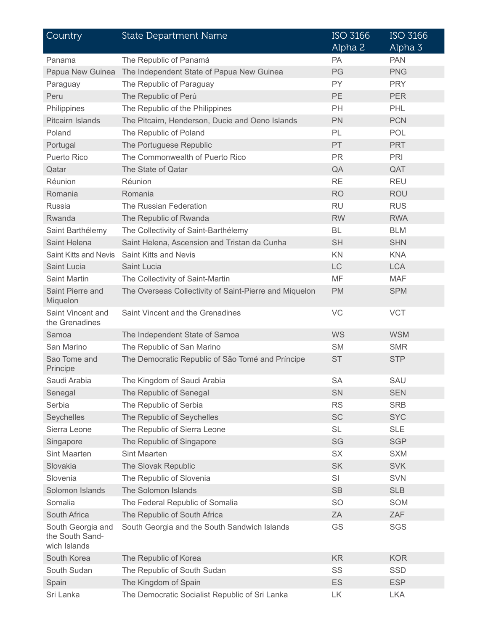| Country                                              | <b>State Department Name</b>                           | <b>ISO 3166</b><br>Alpha 2 | <b>ISO 3166</b><br>Alpha 3 |
|------------------------------------------------------|--------------------------------------------------------|----------------------------|----------------------------|
| Panama                                               | The Republic of Panamá                                 | PA                         | <b>PAN</b>                 |
| Papua New Guinea                                     | The Independent State of Papua New Guinea              | PG                         | <b>PNG</b>                 |
| Paraguay                                             | The Republic of Paraguay                               | <b>PY</b>                  | <b>PRY</b>                 |
| Peru                                                 | The Republic of Perú                                   | <b>PE</b>                  | <b>PER</b>                 |
| Philippines                                          | The Republic of the Philippines                        | <b>PH</b>                  | PHL                        |
| <b>Pitcairn Islands</b>                              | The Pitcairn, Henderson, Ducie and Oeno Islands        | PN                         | <b>PCN</b>                 |
| Poland                                               | The Republic of Poland                                 | PL                         | <b>POL</b>                 |
| Portugal                                             | The Portuguese Republic                                | PT.                        | <b>PRT</b>                 |
| Puerto Rico                                          | The Commonwealth of Puerto Rico                        | <b>PR</b>                  | PRI                        |
| Qatar                                                | The State of Qatar                                     | QA                         | QAT                        |
| Réunion                                              | Réunion                                                | <b>RE</b>                  | <b>REU</b>                 |
| Romania                                              | Romania                                                | <b>RO</b>                  | <b>ROU</b>                 |
| Russia                                               | The Russian Federation                                 | <b>RU</b>                  | <b>RUS</b>                 |
| Rwanda                                               | The Republic of Rwanda                                 | <b>RW</b>                  | <b>RWA</b>                 |
| Saint Barthélemy                                     | The Collectivity of Saint-Barthélemy                   | BL                         | <b>BLM</b>                 |
| Saint Helena                                         | Saint Helena, Ascension and Tristan da Cunha           | <b>SH</b>                  | <b>SHN</b>                 |
| <b>Saint Kitts and Nevis</b>                         | Saint Kitts and Nevis                                  | KN                         | <b>KNA</b>                 |
| Saint Lucia                                          | Saint Lucia                                            | <b>LC</b>                  | <b>LCA</b>                 |
| Saint Martin                                         | The Collectivity of Saint-Martin                       | MF                         | <b>MAF</b>                 |
| Saint Pierre and<br>Miquelon                         | The Overseas Collectivity of Saint-Pierre and Miquelon | <b>PM</b>                  | <b>SPM</b>                 |
| Saint Vincent and<br>the Grenadines                  | Saint Vincent and the Grenadines                       | VC                         | <b>VCT</b>                 |
| Samoa                                                | The Independent State of Samoa                         | WS                         | <b>WSM</b>                 |
| San Marino                                           | The Republic of San Marino                             | <b>SM</b>                  | <b>SMR</b>                 |
| Sao Tome and<br>Principe                             | The Democratic Republic of São Tomé and Príncipe       | <b>ST</b>                  | <b>STP</b>                 |
| Saudi Arabia                                         | The Kingdom of Saudi Arabia                            | <b>SA</b>                  | SAU                        |
| Senegal                                              | The Republic of Senegal                                | SN                         | <b>SEN</b>                 |
| Serbia                                               | The Republic of Serbia                                 | <b>RS</b>                  | <b>SRB</b>                 |
| Seychelles                                           | The Republic of Seychelles                             | <b>SC</b>                  | <b>SYC</b>                 |
| Sierra Leone                                         | The Republic of Sierra Leone                           | <b>SL</b>                  | <b>SLE</b>                 |
| Singapore                                            | The Republic of Singapore                              | SG                         | <b>SGP</b>                 |
| Sint Maarten                                         | Sint Maarten                                           | SX                         | <b>SXM</b>                 |
| Slovakia                                             | The Slovak Republic                                    | <b>SK</b>                  | <b>SVK</b>                 |
| Slovenia                                             | The Republic of Slovenia                               | SI                         | <b>SVN</b>                 |
| Solomon Islands                                      | The Solomon Islands                                    | <b>SB</b>                  | <b>SLB</b>                 |
| Somalia                                              | The Federal Republic of Somalia                        | <b>SO</b>                  | SOM                        |
| South Africa                                         | The Republic of South Africa                           | ZA                         | ZAF                        |
| South Georgia and<br>the South Sand-<br>wich Islands | South Georgia and the South Sandwich Islands           | GS                         | <b>SGS</b>                 |
| South Korea                                          | The Republic of Korea                                  | <b>KR</b>                  | <b>KOR</b>                 |
| South Sudan                                          | The Republic of South Sudan                            | SS                         | <b>SSD</b>                 |
| Spain                                                | The Kingdom of Spain                                   | ES                         | <b>ESP</b>                 |
| Sri Lanka                                            | The Democratic Socialist Republic of Sri Lanka         | LK                         | <b>LKA</b>                 |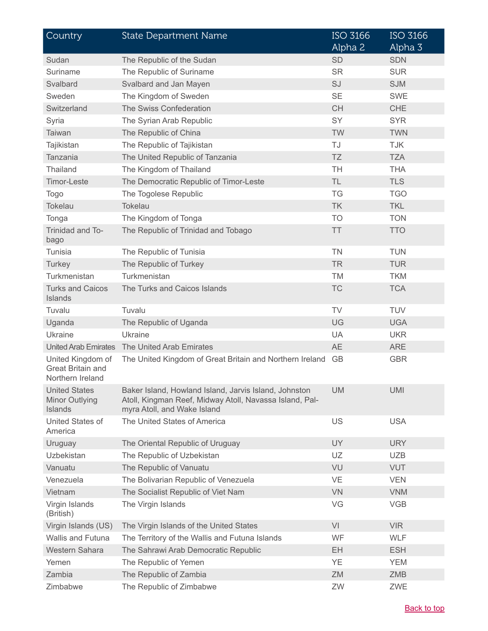| Country                                                    | <b>State Department Name</b>                                                                                                                    | <b>ISO 3166</b><br>Alpha 2 | <b>ISO 3166</b><br>Alpha 3 |
|------------------------------------------------------------|-------------------------------------------------------------------------------------------------------------------------------------------------|----------------------------|----------------------------|
| Sudan                                                      | The Republic of the Sudan                                                                                                                       | <b>SD</b>                  | <b>SDN</b>                 |
| Suriname                                                   | The Republic of Suriname                                                                                                                        | <b>SR</b>                  | <b>SUR</b>                 |
| Svalbard                                                   | Svalbard and Jan Mayen                                                                                                                          | SJ                         | <b>SJM</b>                 |
| Sweden                                                     | The Kingdom of Sweden                                                                                                                           | <b>SE</b>                  | <b>SWE</b>                 |
| Switzerland                                                | The Swiss Confederation                                                                                                                         | <b>CH</b>                  | <b>CHE</b>                 |
| Syria                                                      | The Syrian Arab Republic                                                                                                                        | SY                         | <b>SYR</b>                 |
| Taiwan                                                     | The Republic of China                                                                                                                           | <b>TW</b>                  | <b>TWN</b>                 |
| Tajikistan                                                 | The Republic of Tajikistan                                                                                                                      | TJ                         | <b>TJK</b>                 |
| Tanzania                                                   | The United Republic of Tanzania                                                                                                                 | TZ                         | <b>TZA</b>                 |
| Thailand                                                   | The Kingdom of Thailand                                                                                                                         | <b>TH</b>                  | <b>THA</b>                 |
| <b>Timor-Leste</b>                                         | The Democratic Republic of Timor-Leste                                                                                                          | <b>TL</b>                  | <b>TLS</b>                 |
| <b>Togo</b>                                                | The Togolese Republic                                                                                                                           | <b>TG</b>                  | <b>TGO</b>                 |
| <b>Tokelau</b>                                             | Tokelau                                                                                                                                         | <b>TK</b>                  | <b>TKL</b>                 |
| Tonga                                                      | The Kingdom of Tonga                                                                                                                            | <b>TO</b>                  | <b>TON</b>                 |
| Trinidad and To-<br>bago                                   | The Republic of Trinidad and Tobago                                                                                                             | <b>TT</b>                  | <b>TTO</b>                 |
| Tunisia                                                    | The Republic of Tunisia                                                                                                                         | <b>TN</b>                  | <b>TUN</b>                 |
| Turkey                                                     | The Republic of Turkey                                                                                                                          | <b>TR</b>                  | <b>TUR</b>                 |
| Turkmenistan                                               | Turkmenistan                                                                                                                                    | <b>TM</b>                  | <b>TKM</b>                 |
| <b>Turks and Caicos</b><br>Islands                         | The Turks and Caicos Islands                                                                                                                    | <b>TC</b>                  | <b>TCA</b>                 |
| Tuvalu                                                     | Tuvalu                                                                                                                                          | TV                         | <b>TUV</b>                 |
| Uganda                                                     | The Republic of Uganda                                                                                                                          | UG                         | <b>UGA</b>                 |
| Ukraine                                                    | Ukraine                                                                                                                                         | <b>UA</b>                  | <b>UKR</b>                 |
| <b>United Arab Emirates</b>                                | The United Arab Emirates                                                                                                                        | <b>AE</b>                  | <b>ARE</b>                 |
| United Kingdom of<br>Great Britain and<br>Northern Ireland | The United Kingdom of Great Britain and Northern Ireland                                                                                        | <b>GB</b>                  | <b>GBR</b>                 |
| <b>United States</b><br>Minor Outlying<br>Islands          | Baker Island, Howland Island, Jarvis Island, Johnston<br>Atoll, Kingman Reef, Midway Atoll, Navassa Island, Pal-<br>myra Atoll, and Wake Island | <b>UM</b>                  | <b>UMI</b>                 |
| United States of<br>America                                | The United States of America                                                                                                                    | US                         | <b>USA</b>                 |
| Uruguay                                                    | The Oriental Republic of Uruguay                                                                                                                | <b>UY</b>                  | <b>URY</b>                 |
| <b>Uzbekistan</b>                                          | The Republic of Uzbekistan                                                                                                                      | <b>UZ</b>                  | <b>UZB</b>                 |
| Vanuatu                                                    | The Republic of Vanuatu                                                                                                                         | VU                         | <b>VUT</b>                 |
| Venezuela                                                  | The Bolivarian Republic of Venezuela                                                                                                            | VE                         | <b>VEN</b>                 |
| Vietnam                                                    | The Socialist Republic of Viet Nam                                                                                                              | <b>VN</b>                  | <b>VNM</b>                 |
| Virgin Islands<br>(British)                                | The Virgin Islands                                                                                                                              | VG                         | <b>VGB</b>                 |
| Virgin Islands (US)                                        | The Virgin Islands of the United States                                                                                                         | VI                         | <b>VIR</b>                 |
| Wallis and Futuna                                          | The Territory of the Wallis and Futuna Islands                                                                                                  | WF                         | <b>WLF</b>                 |
| Western Sahara                                             | The Sahrawi Arab Democratic Republic                                                                                                            | EH                         | <b>ESH</b>                 |
| Yemen                                                      | The Republic of Yemen                                                                                                                           | <b>YE</b>                  | <b>YEM</b>                 |
| Zambia                                                     | The Republic of Zambia                                                                                                                          | ZM                         | <b>ZMB</b>                 |
| Zimbabwe                                                   | The Republic of Zimbabwe                                                                                                                        | ZW                         | ZWE                        |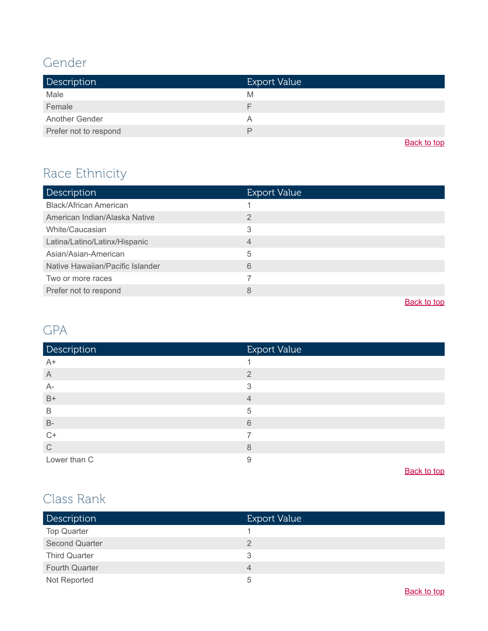#### <span id="page-12-0"></span>Gender

| <b>Description</b>    | <b>Export Value</b> |
|-----------------------|---------------------|
| Male                  | M                   |
| Female                | ⊢                   |
| Another Gender        | Α                   |
| Prefer not to respond | ₽                   |

**[Back to top](#page-0-0)** 

# <span id="page-12-1"></span>Race Ethnicity

| <b>Description</b>               | <b>Export Value</b> |
|----------------------------------|---------------------|
| <b>Black/African American</b>    |                     |
| American Indian/Alaska Native    | $\overline{2}$      |
| White/Caucasian                  | 3                   |
| Latina/Latino/Latinx/Hispanic    | 4                   |
| Asian/Asian-American             | 5                   |
| Native Hawaiian/Pacific Islander | 6                   |
| Two or more races                |                     |
| Prefer not to respond            | 8                   |
|                                  | Deal-Island         |

**[Back to top](#page-0-0)** 

#### <span id="page-12-2"></span>GPA

| <b>Export Value</b> |
|---------------------|
|                     |
| $\overline{2}$      |
| 3                   |
| 4                   |
| 5                   |
| 6                   |
|                     |
| 8                   |
| 9                   |
|                     |

[Back to top](#page-0-0)

#### <span id="page-12-3"></span>Class Rank

| <b>Description</b>    | <b>Export Value</b> |
|-----------------------|---------------------|
| <b>Top Quarter</b>    |                     |
| Second Quarter        |                     |
| <b>Third Quarter</b>  | 3                   |
| <b>Fourth Quarter</b> | 4                   |
| Not Reported          | 5                   |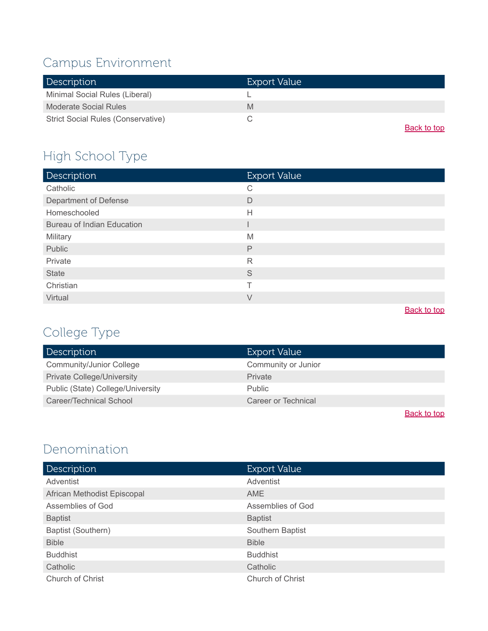# <span id="page-13-1"></span>Campus Environment

| <b>Description</b>                        | Export Value |
|-------------------------------------------|--------------|
| Minimal Social Rules (Liberal)            |              |
| Moderate Social Rules                     | M            |
| <b>Strict Social Rules (Conservative)</b> |              |
|                                           | Back to top  |

# High School Type

| Description                       | <b>Export Value</b> |
|-----------------------------------|---------------------|
| Catholic                          | C                   |
| Department of Defense             | D                   |
| Homeschooled                      | $\mathsf{H}$        |
| <b>Bureau of Indian Education</b> |                     |
| Military                          | M                   |
| Public                            | $\mathsf{P}$        |
| Private                           | R                   |
| <b>State</b>                      | S                   |
| Christian                         | т                   |
| Virtual                           | V                   |

**[Back to top](#page-0-0)** 

# <span id="page-13-0"></span>College Type

| Description                       | <b>Export Value</b> |
|-----------------------------------|---------------------|
| <b>Community/Junior College</b>   | Community or Junior |
| <b>Private College/University</b> | <b>Private</b>      |
| Public (State) College/University | <b>Public</b>       |
| Career/Technical School           | Career or Technical |
|                                   | Deal-Action         |

**[Back to top](#page-0-0)** 

## <span id="page-13-2"></span>Denomination

| <b>Description</b>          | <b>Export Value</b> |
|-----------------------------|---------------------|
| Adventist                   | Adventist           |
| African Methodist Episcopal | AME                 |
| Assemblies of God           | Assemblies of God   |
| <b>Baptist</b>              | <b>Baptist</b>      |
| Baptist (Southern)          | Southern Baptist    |
| <b>Bible</b>                | <b>Bible</b>        |
| <b>Buddhist</b>             | <b>Buddhist</b>     |
| Catholic                    | Catholic            |
| Church of Christ            | Church of Christ    |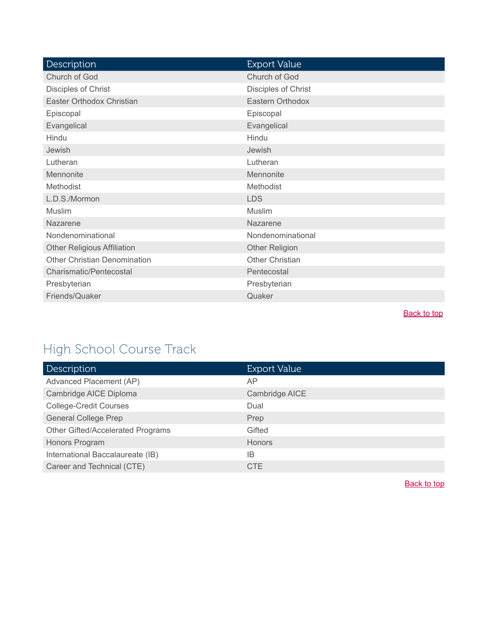| <b>Description</b>                 | <b>Export Value</b>    |
|------------------------------------|------------------------|
| Church of God                      | Church of God          |
| Disciples of Christ                | Disciples of Christ    |
| Easter Orthodox Christian          | Eastern Orthodox       |
| Episcopal                          | Episcopal              |
| Evangelical                        | Evangelical            |
| Hindu                              | Hindu                  |
| Jewish                             | Jewish                 |
| Lutheran                           | Lutheran               |
| Mennonite                          | Mennonite              |
| Methodist                          | Methodist              |
| L.D.S./Mormon                      | <b>LDS</b>             |
| Muslim                             | <b>Muslim</b>          |
| Nazarene                           | Nazarene               |
| Nondenominational                  | Nondenominational      |
| <b>Other Religious Affiliation</b> | <b>Other Religion</b>  |
| Other Christian Denomination       | <b>Other Christian</b> |
| Charismatic/Pentecostal            | Pentecostal            |
| Presbyterian                       | Presbyterian           |
| Friends/Quaker                     | Quaker                 |
|                                    |                        |

# <span id="page-14-0"></span>High School Course Track

| <b>Description</b>                | <b>Export Value</b> |
|-----------------------------------|---------------------|
| Advanced Placement (AP)           | AP                  |
| Cambridge AICE Diploma            | Cambridge AICE      |
| <b>College-Credit Courses</b>     | Dual                |
| <b>General College Prep</b>       | Prep                |
| Other Gifted/Accelerated Programs | Gifted              |
| Honors Program                    | <b>Honors</b>       |
| International Baccalaureate (IB)  | ΙB                  |
| Career and Technical (CTE)        | <b>CTE</b>          |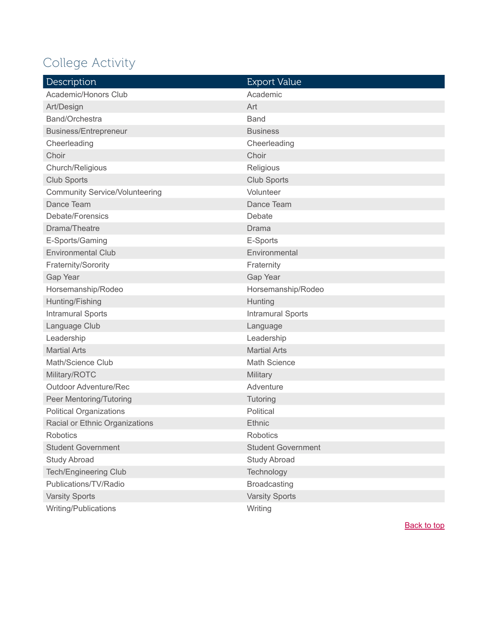# <span id="page-15-0"></span>College Activity

| Description                           | <b>Export Value</b>       |
|---------------------------------------|---------------------------|
| Academic/Honors Club                  | Academic                  |
| Art/Design                            | Art                       |
| Band/Orchestra                        | <b>Band</b>               |
| Business/Entrepreneur                 | <b>Business</b>           |
| Cheerleading                          | Cheerleading              |
| Choir                                 | Choir                     |
| Church/Religious                      | Religious                 |
| <b>Club Sports</b>                    | <b>Club Sports</b>        |
| <b>Community Service/Volunteering</b> | Volunteer                 |
| Dance Team                            | Dance Team                |
| Debate/Forensics                      | Debate                    |
| Drama/Theatre                         | Drama                     |
| E-Sports/Gaming                       | E-Sports                  |
| <b>Environmental Club</b>             | Environmental             |
| Fraternity/Sorority                   | Fraternity                |
| Gap Year                              | Gap Year                  |
| Horsemanship/Rodeo                    | Horsemanship/Rodeo        |
| Hunting/Fishing                       | Hunting                   |
| <b>Intramural Sports</b>              | <b>Intramural Sports</b>  |
| Language Club                         | Language                  |
| Leadership                            | Leadership                |
| <b>Martial Arts</b>                   | <b>Martial Arts</b>       |
| Math/Science Club                     | <b>Math Science</b>       |
| Military/ROTC                         | Military                  |
| <b>Outdoor Adventure/Rec</b>          | Adventure                 |
| Peer Mentoring/Tutoring               | Tutoring                  |
| <b>Political Organizations</b>        | Political                 |
| Racial or Ethnic Organizations        | Ethnic                    |
| <b>Robotics</b>                       | Robotics                  |
| <b>Student Government</b>             | <b>Student Government</b> |
| <b>Study Abroad</b>                   | <b>Study Abroad</b>       |
| Tech/Engineering Club                 | Technology                |
| Publications/TV/Radio                 | <b>Broadcasting</b>       |
| <b>Varsity Sports</b>                 | <b>Varsity Sports</b>     |
| Writing/Publications                  | Writing                   |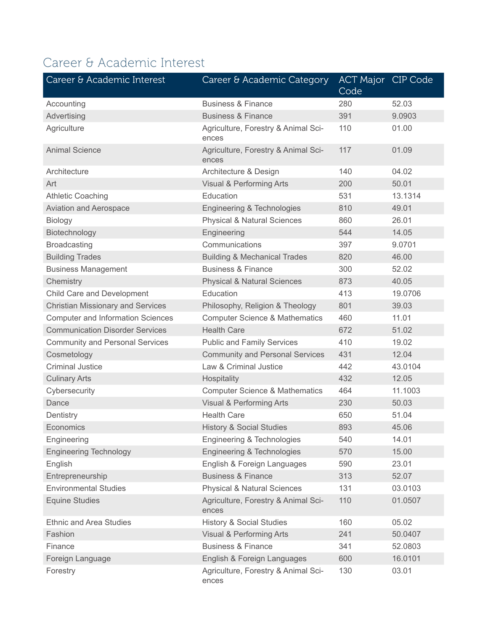# <span id="page-16-0"></span>Career & Academic Interest

| Career & Academic Interest               | Career & Academic Category                   | <b>ACT Major CIP Code</b><br>Code |         |
|------------------------------------------|----------------------------------------------|-----------------------------------|---------|
| Accounting                               | <b>Business &amp; Finance</b>                | 280                               | 52.03   |
| Advertising                              | <b>Business &amp; Finance</b>                | 391                               | 9.0903  |
| Agriculture                              | Agriculture, Forestry & Animal Sci-<br>ences | 110                               | 01.00   |
| <b>Animal Science</b>                    | Agriculture, Forestry & Animal Sci-<br>ences | 117                               | 01.09   |
| Architecture                             | Architecture & Design                        | 140                               | 04.02   |
| Art                                      | Visual & Performing Arts                     | 200                               | 50.01   |
| <b>Athletic Coaching</b>                 | Education                                    | 531                               | 13.1314 |
| <b>Aviation and Aerospace</b>            | Engineering & Technologies                   | 810                               | 49.01   |
| Biology                                  | <b>Physical &amp; Natural Sciences</b>       | 860                               | 26.01   |
| Biotechnology                            | Engineering                                  | 544                               | 14.05   |
| <b>Broadcasting</b>                      | Communications                               | 397                               | 9.0701  |
| <b>Building Trades</b>                   | <b>Building &amp; Mechanical Trades</b>      | 820                               | 46.00   |
| <b>Business Management</b>               | <b>Business &amp; Finance</b>                | 300                               | 52.02   |
| Chemistry                                | <b>Physical &amp; Natural Sciences</b>       | 873                               | 40.05   |
| Child Care and Development               | Education                                    | 413                               | 19.0706 |
| <b>Christian Missionary and Services</b> | Philosophy, Religion & Theology              | 801                               | 39.03   |
| <b>Computer and Information Sciences</b> | <b>Computer Science &amp; Mathematics</b>    | 460                               | 11.01   |
| <b>Communication Disorder Services</b>   | <b>Health Care</b>                           | 672                               | 51.02   |
| <b>Community and Personal Services</b>   | <b>Public and Family Services</b>            | 410                               | 19.02   |
| Cosmetology                              | <b>Community and Personal Services</b>       | 431                               | 12.04   |
| <b>Criminal Justice</b>                  | Law & Criminal Justice                       | 442                               | 43.0104 |
| <b>Culinary Arts</b>                     | Hospitality                                  | 432                               | 12.05   |
| Cybersecurity                            | <b>Computer Science &amp; Mathematics</b>    | 464                               | 11.1003 |
| Dance                                    | Visual & Performing Arts                     | 230                               | 50.03   |
| Dentistry                                | <b>Health Care</b>                           | 650                               | 51.04   |
| Economics                                | <b>History &amp; Social Studies</b>          | 893                               | 45.06   |
| Engineering                              | Engineering & Technologies                   | 540                               | 14.01   |
| <b>Engineering Technology</b>            | Engineering & Technologies                   | 570                               | 15.00   |
| English                                  | English & Foreign Languages                  | 590                               | 23.01   |
| Entrepreneurship                         | <b>Business &amp; Finance</b>                | 313                               | 52.07   |
| <b>Environmental Studies</b>             | <b>Physical &amp; Natural Sciences</b>       | 131                               | 03.0103 |
| <b>Equine Studies</b>                    | Agriculture, Forestry & Animal Sci-<br>ences | 110                               | 01.0507 |
| <b>Ethnic and Area Studies</b>           | <b>History &amp; Social Studies</b>          | 160                               | 05.02   |
| Fashion                                  | Visual & Performing Arts                     | 241                               | 50.0407 |
| Finance                                  | <b>Business &amp; Finance</b>                | 341                               | 52.0803 |
| Foreign Language                         | English & Foreign Languages                  | 600                               | 16.0101 |
| Forestry                                 | Agriculture, Forestry & Animal Sci-<br>ences | 130                               | 03.01   |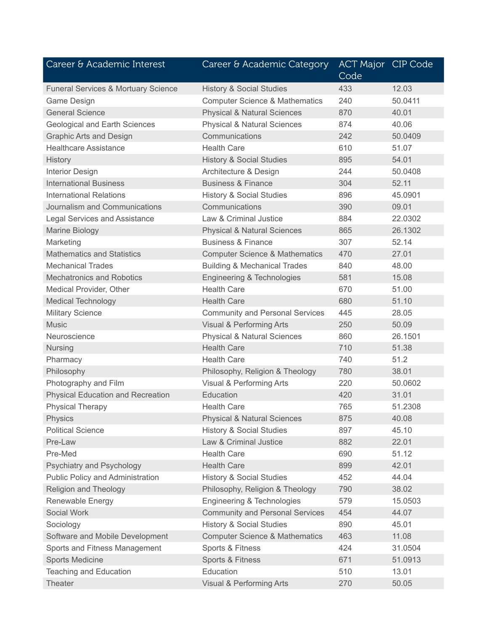| Career & Academic Interest                     | Career & Academic Category                | <b>ACT Major CIP Code</b><br>Code |         |
|------------------------------------------------|-------------------------------------------|-----------------------------------|---------|
| <b>Funeral Services &amp; Mortuary Science</b> | <b>History &amp; Social Studies</b>       | 433                               | 12.03   |
| Game Design                                    | <b>Computer Science &amp; Mathematics</b> | 240                               | 50.0411 |
| <b>General Science</b>                         | <b>Physical &amp; Natural Sciences</b>    | 870                               | 40.01   |
| <b>Geological and Earth Sciences</b>           | <b>Physical &amp; Natural Sciences</b>    | 874                               | 40.06   |
| <b>Graphic Arts and Design</b>                 | Communications                            | 242                               | 50.0409 |
| <b>Healthcare Assistance</b>                   | <b>Health Care</b>                        | 610                               | 51.07   |
| <b>History</b>                                 | <b>History &amp; Social Studies</b>       | 895                               | 54.01   |
| <b>Interior Design</b>                         | Architecture & Design                     | 244                               | 50.0408 |
| <b>International Business</b>                  | <b>Business &amp; Finance</b>             | 304                               | 52.11   |
| <b>International Relations</b>                 | <b>History &amp; Social Studies</b>       | 896                               | 45.0901 |
| Journalism and Communications                  | Communications                            | 390                               | 09.01   |
| <b>Legal Services and Assistance</b>           | Law & Criminal Justice                    | 884                               | 22.0302 |
| <b>Marine Biology</b>                          | <b>Physical &amp; Natural Sciences</b>    | 865                               | 26.1302 |
| Marketing                                      | <b>Business &amp; Finance</b>             | 307                               | 52.14   |
| <b>Mathematics and Statistics</b>              | <b>Computer Science &amp; Mathematics</b> | 470                               | 27.01   |
| <b>Mechanical Trades</b>                       | <b>Building &amp; Mechanical Trades</b>   | 840                               | 48.00   |
| <b>Mechatronics and Robotics</b>               | Engineering & Technologies                | 581                               | 15.08   |
| Medical Provider, Other                        | <b>Health Care</b>                        | 670                               | 51.00   |
| <b>Medical Technology</b>                      | <b>Health Care</b>                        | 680                               | 51.10   |
| <b>Military Science</b>                        | <b>Community and Personal Services</b>    | 445                               | 28.05   |
| <b>Music</b>                                   | Visual & Performing Arts                  | 250                               | 50.09   |
| Neuroscience                                   | <b>Physical &amp; Natural Sciences</b>    | 860                               | 26.1501 |
| Nursing                                        | <b>Health Care</b>                        | 710                               | 51.38   |
| Pharmacy                                       | <b>Health Care</b>                        | 740                               | 51.2    |
| Philosophy                                     | Philosophy, Religion & Theology           | 780                               | 38.01   |
| Photography and Film                           | Visual & Performing Arts                  | 220                               | 50.0602 |
| <b>Physical Education and Recreation</b>       | Education                                 | 420                               | 31.01   |
| <b>Physical Therapy</b>                        | <b>Health Care</b>                        | 765                               | 51.2308 |
| <b>Physics</b>                                 | <b>Physical &amp; Natural Sciences</b>    | 875                               | 40.08   |
| <b>Political Science</b>                       | <b>History &amp; Social Studies</b>       | 897                               | 45.10   |
| Pre-Law                                        | Law & Criminal Justice                    | 882                               | 22.01   |
| Pre-Med                                        | <b>Health Care</b>                        | 690                               | 51.12   |
| Psychiatry and Psychology                      | <b>Health Care</b>                        | 899                               | 42.01   |
| Public Policy and Administration               | <b>History &amp; Social Studies</b>       | 452                               | 44.04   |
| <b>Religion and Theology</b>                   | Philosophy, Religion & Theology           | 790                               | 38.02   |
| Renewable Energy                               | Engineering & Technologies                | 579                               | 15.0503 |
| Social Work                                    | <b>Community and Personal Services</b>    | 454                               | 44.07   |
| Sociology                                      | <b>History &amp; Social Studies</b>       | 890                               | 45.01   |
| Software and Mobile Development                | <b>Computer Science &amp; Mathematics</b> | 463                               | 11.08   |
| Sports and Fitness Management                  | Sports & Fitness                          | 424                               | 31.0504 |
| <b>Sports Medicine</b>                         | Sports & Fitness                          | 671                               | 51.0913 |
| <b>Teaching and Education</b>                  | Education                                 | 510                               | 13.01   |
| Theater                                        | <b>Visual &amp; Performing Arts</b>       | 270                               | 50.05   |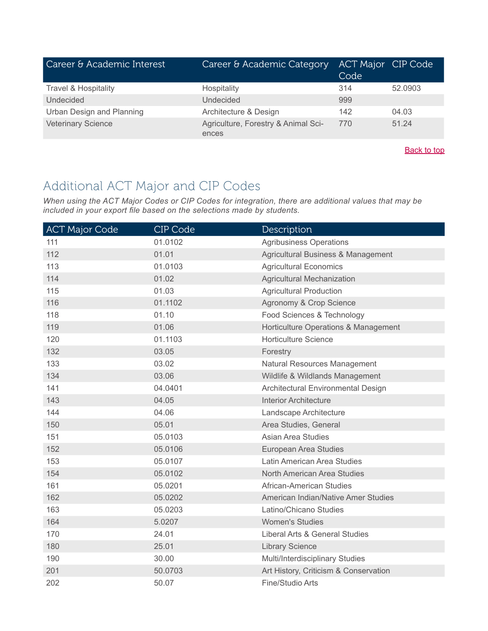| Career & Academic Interest      | Career & Academic Category                   | <b>ACT Major CIP Code</b><br>Code |         |
|---------------------------------|----------------------------------------------|-----------------------------------|---------|
| <b>Travel &amp; Hospitality</b> | Hospitality                                  | 314                               | 52.0903 |
| Undecided                       | Undecided                                    | 999                               |         |
| Urban Design and Planning       | Architecture & Design                        | 142                               | 04.03   |
| <b>Veterinary Science</b>       | Agriculture, Forestry & Animal Sci-<br>ences | 770                               | 51.24   |

## Additional ACT Major and CIP Codes

*When using the ACT Major Codes or CIP Codes for integration, there are additional values that may be included in your export file based on the selections made by students.*

| <b>ACT Major Code</b> | CIP Code | Description                           |
|-----------------------|----------|---------------------------------------|
| 111                   | 01.0102  | <b>Agribusiness Operations</b>        |
| 112                   | 01.01    | Agricultural Business & Management    |
| 113                   | 01.0103  | <b>Agricultural Economics</b>         |
| 114                   | 01.02    | <b>Agricultural Mechanization</b>     |
| 115                   | 01.03    | <b>Agricultural Production</b>        |
| 116                   | 01.1102  | Agronomy & Crop Science               |
| 118                   | 01.10    | Food Sciences & Technology            |
| 119                   | 01.06    | Horticulture Operations & Management  |
| 120                   | 01.1103  | <b>Horticulture Science</b>           |
| 132                   | 03.05    | Forestry                              |
| 133                   | 03.02    | Natural Resources Management          |
| 134                   | 03.06    | Wildlife & Wildlands Management       |
| 141                   | 04.0401  | Architectural Environmental Design    |
| 143                   | 04.05    | <b>Interior Architecture</b>          |
| 144                   | 04.06    | Landscape Architecture                |
| 150                   | 05.01    | Area Studies, General                 |
| 151                   | 05.0103  | Asian Area Studies                    |
| 152                   | 05.0106  | European Area Studies                 |
| 153                   | 05.0107  | Latin American Area Studies           |
| 154                   | 05.0102  | North American Area Studies           |
| 161                   | 05.0201  | African-American Studies              |
| 162                   | 05.0202  | American Indian/Native Amer Studies   |
| 163                   | 05.0203  | Latino/Chicano Studies                |
| 164                   | 5.0207   | <b>Women's Studies</b>                |
| 170                   | 24.01    | Liberal Arts & General Studies        |
| 180                   | 25.01    | <b>Library Science</b>                |
| 190                   | 30.00    | Multi/Interdisciplinary Studies       |
| 201                   | 50.0703  | Art History, Criticism & Conservation |
| 202                   | 50.07    | Fine/Studio Arts                      |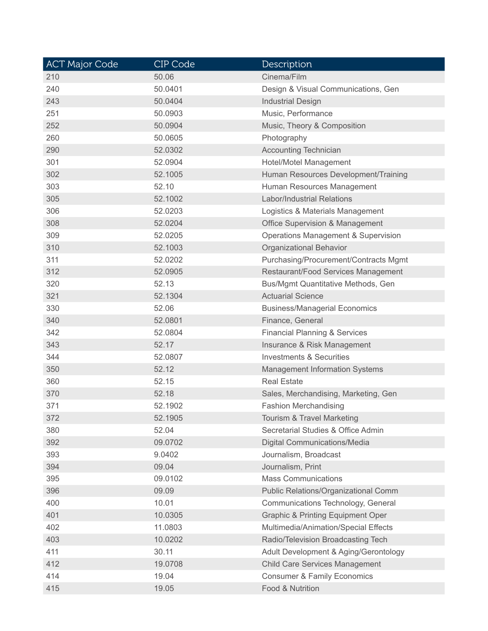| <b>ACT Major Code</b> | CIP Code | Description                                  |
|-----------------------|----------|----------------------------------------------|
| 210                   | 50.06    | Cinema/Film                                  |
| 240                   | 50.0401  | Design & Visual Communications, Gen          |
| 243                   | 50.0404  | <b>Industrial Design</b>                     |
| 251                   | 50.0903  | Music, Performance                           |
| 252                   | 50.0904  | Music, Theory & Composition                  |
| 260                   | 50.0605  | Photography                                  |
| 290                   | 52.0302  | <b>Accounting Technician</b>                 |
| 301                   | 52.0904  | Hotel/Motel Management                       |
| 302                   | 52.1005  | Human Resources Development/Training         |
| 303                   | 52.10    | Human Resources Management                   |
| 305                   | 52.1002  | <b>Labor/Industrial Relations</b>            |
| 306                   | 52.0203  | Logistics & Materials Management             |
| 308                   | 52.0204  | <b>Office Supervision &amp; Management</b>   |
| 309                   | 52.0205  | Operations Management & Supervision          |
| 310                   | 52.1003  | Organizational Behavior                      |
| 311                   | 52.0202  | Purchasing/Procurement/Contracts Mgmt        |
| 312                   | 52.0905  | Restaurant/Food Services Management          |
| 320                   | 52.13    | Bus/Mgmt Quantitative Methods, Gen           |
| 321                   | 52.1304  | <b>Actuarial Science</b>                     |
| 330                   | 52.06    | <b>Business/Managerial Economics</b>         |
| 340                   | 52.0801  | Finance, General                             |
| 342                   | 52.0804  | <b>Financial Planning &amp; Services</b>     |
| 343                   | 52.17    | Insurance & Risk Management                  |
| 344                   | 52.0807  | <b>Investments &amp; Securities</b>          |
| 350                   | 52.12    | <b>Management Information Systems</b>        |
| 360                   | 52.15    | <b>Real Estate</b>                           |
| 370                   | 52.18    | Sales, Merchandising, Marketing, Gen         |
| 371                   | 52.1902  | <b>Fashion Merchandising</b>                 |
| 372                   | 52.1905  | Tourism & Travel Marketing                   |
| 380                   | 52.04    | Secretarial Studies & Office Admin           |
| 392                   | 09.0702  | Digital Communications/Media                 |
| 393                   | 9.0402   | Journalism, Broadcast                        |
| 394                   | 09.04    | Journalism, Print                            |
| 395                   | 09.0102  | <b>Mass Communications</b>                   |
| 396                   | 09.09    | Public Relations/Organizational Comm         |
| 400                   | 10.01    | Communications Technology, General           |
| 401                   | 10.0305  | <b>Graphic &amp; Printing Equipment Oper</b> |
| 402                   | 11.0803  | Multimedia/Animation/Special Effects         |
| 403                   | 10.0202  | Radio/Television Broadcasting Tech           |
| 411                   | 30.11    | Adult Development & Aging/Gerontology        |
| 412                   | 19.0708  | <b>Child Care Services Management</b>        |
| 414                   | 19.04    | <b>Consumer &amp; Family Economics</b>       |
| 415                   | 19.05    | Food & Nutrition                             |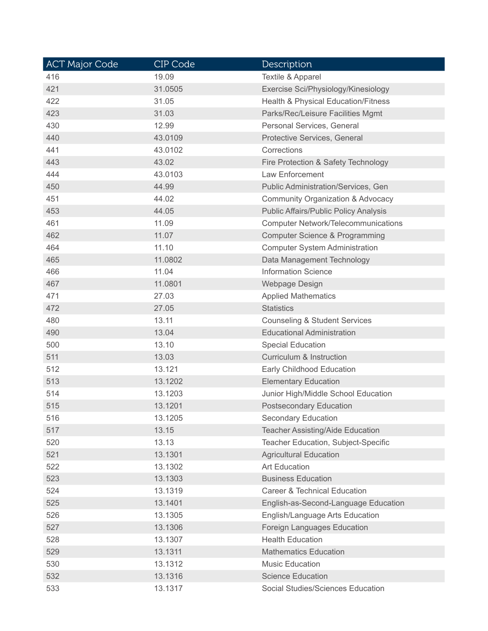| <b>ACT Major Code</b> | CIP Code | Description                                    |
|-----------------------|----------|------------------------------------------------|
| 416                   | 19.09    | <b>Textile &amp; Apparel</b>                   |
| 421                   | 31.0505  | Exercise Sci/Physiology/Kinesiology            |
| 422                   | 31.05    | <b>Health &amp; Physical Education/Fitness</b> |
| 423                   | 31.03    | Parks/Rec/Leisure Facilities Mgmt              |
| 430                   | 12.99    | Personal Services, General                     |
| 440                   | 43.0109  | Protective Services, General                   |
| 441                   | 43.0102  | Corrections                                    |
| 443                   | 43.02    | Fire Protection & Safety Technology            |
| 444                   | 43.0103  | Law Enforcement                                |
| 450                   | 44.99    | <b>Public Administration/Services, Gen</b>     |
| 451                   | 44.02    | Community Organization & Advocacy              |
| 453                   | 44.05    | <b>Public Affairs/Public Policy Analysis</b>   |
| 461                   | 11.09    | <b>Computer Network/Telecommunications</b>     |
| 462                   | 11.07    | <b>Computer Science &amp; Programming</b>      |
| 464                   | 11.10    | <b>Computer System Administration</b>          |
| 465                   | 11.0802  | Data Management Technology                     |
| 466                   | 11.04    | <b>Information Science</b>                     |
| 467                   | 11.0801  | Webpage Design                                 |
| 471                   | 27.03    | <b>Applied Mathematics</b>                     |
| 472                   | 27.05    | <b>Statistics</b>                              |
| 480                   | 13.11    | <b>Counseling &amp; Student Services</b>       |
| 490                   | 13.04    | <b>Educational Administration</b>              |
| 500                   | 13.10    | <b>Special Education</b>                       |
| 511                   | 13.03    | Curriculum & Instruction                       |
| 512                   | 13.121   | Early Childhood Education                      |
| 513                   | 13.1202  | <b>Elementary Education</b>                    |
| 514                   | 13.1203  | Junior High/Middle School Education            |
| 515                   | 13.1201  | <b>Postsecondary Education</b>                 |
| 516                   | 13.1205  | <b>Secondary Education</b>                     |
| 517                   | 13.15    | <b>Teacher Assisting/Aide Education</b>        |
| 520                   | 13.13    | Teacher Education, Subject-Specific            |
| 521                   | 13.1301  | <b>Agricultural Education</b>                  |
| 522                   | 13.1302  | <b>Art Education</b>                           |
| 523                   | 13.1303  | <b>Business Education</b>                      |
| 524                   | 13.1319  | <b>Career &amp; Technical Education</b>        |
| 525                   | 13.1401  | English-as-Second-Language Education           |
| 526                   | 13.1305  | English/Language Arts Education                |
| 527                   | 13.1306  | Foreign Languages Education                    |
| 528                   | 13.1307  | <b>Health Education</b>                        |
| 529                   | 13.1311  | <b>Mathematics Education</b>                   |
| 530                   | 13.1312  | <b>Music Education</b>                         |
| 532                   | 13.1316  | <b>Science Education</b>                       |
| 533                   | 13.1317  | Social Studies/Sciences Education              |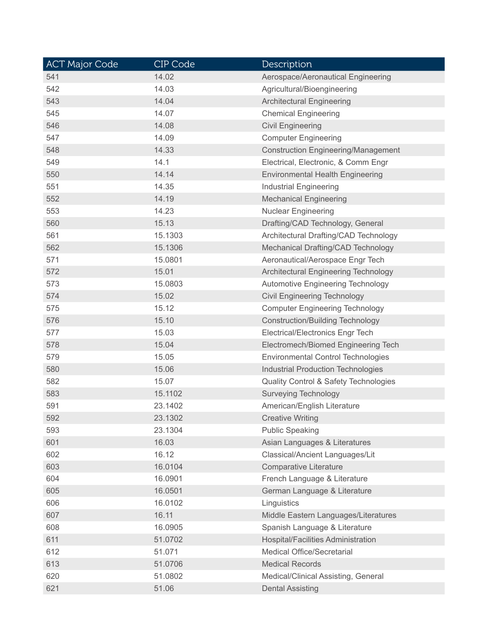| <b>ACT Major Code</b> | CIP Code | <b>Description</b>                               |
|-----------------------|----------|--------------------------------------------------|
| 541                   | 14.02    | Aerospace/Aeronautical Engineering               |
| 542                   | 14.03    | Agricultural/Bioengineering                      |
| 543                   | 14.04    | <b>Architectural Engineering</b>                 |
| 545                   | 14.07    | <b>Chemical Engineering</b>                      |
| 546                   | 14.08    | <b>Civil Engineering</b>                         |
| 547                   | 14.09    | <b>Computer Engineering</b>                      |
| 548                   | 14.33    | <b>Construction Engineering/Management</b>       |
| 549                   | 14.1     | Electrical, Electronic, & Comm Engr              |
| 550                   | 14.14    | <b>Environmental Health Engineering</b>          |
| 551                   | 14.35    | <b>Industrial Engineering</b>                    |
| 552                   | 14.19    | <b>Mechanical Engineering</b>                    |
| 553                   | 14.23    | <b>Nuclear Engineering</b>                       |
| 560                   | 15.13    | Drafting/CAD Technology, General                 |
| 561                   | 15.1303  | Architectural Drafting/CAD Technology            |
| 562                   | 15.1306  | Mechanical Drafting/CAD Technology               |
| 571                   | 15.0801  | Aeronautical/Aerospace Engr Tech                 |
| 572                   | 15.01    | Architectural Engineering Technology             |
| 573                   | 15.0803  | <b>Automotive Engineering Technology</b>         |
| 574                   | 15.02    | <b>Civil Engineering Technology</b>              |
| 575                   | 15.12    | <b>Computer Engineering Technology</b>           |
| 576                   | 15.10    | <b>Construction/Building Technology</b>          |
| 577                   | 15.03    | Electrical/Electronics Engr Tech                 |
| 578                   | 15.04    | Electromech/Biomed Engineering Tech              |
| 579                   | 15.05    | <b>Environmental Control Technologies</b>        |
| 580                   | 15.06    | <b>Industrial Production Technologies</b>        |
| 582                   | 15.07    | <b>Quality Control &amp; Safety Technologies</b> |
| 583                   | 15.1102  | <b>Surveying Technology</b>                      |
| 591                   | 23.1402  | American/English Literature                      |
| 592                   | 23.1302  | <b>Creative Writing</b>                          |
| 593                   | 23.1304  | <b>Public Speaking</b>                           |
| 601                   | 16.03    | Asian Languages & Literatures                    |
| 602                   | 16.12    | Classical/Ancient Languages/Lit                  |
| 603                   | 16.0104  | Comparative Literature                           |
| 604                   | 16.0901  | French Language & Literature                     |
| 605                   | 16.0501  | German Language & Literature                     |
| 606                   | 16.0102  | Linguistics                                      |
| 607                   | 16.11    | Middle Eastern Languages/Literatures             |
| 608                   | 16.0905  | Spanish Language & Literature                    |
| 611                   | 51.0702  | Hospital/Facilities Administration               |
| 612                   | 51.071   | Medical Office/Secretarial                       |
| 613                   | 51.0706  | <b>Medical Records</b>                           |
| 620                   | 51.0802  | Medical/Clinical Assisting, General              |
| 621                   | 51.06    | <b>Dental Assisting</b>                          |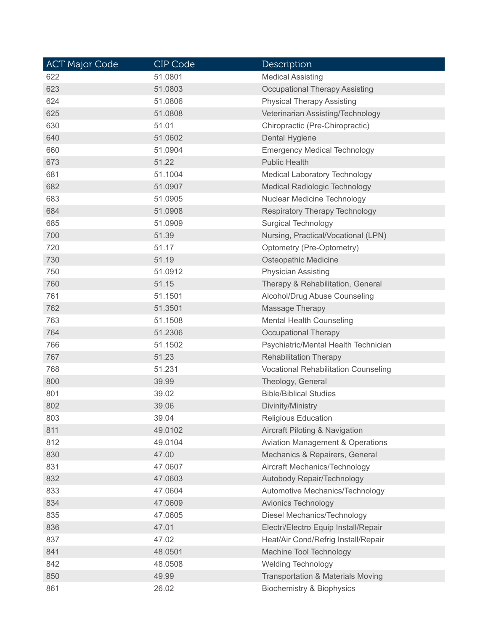| <b>ACT Major Code</b> | CIP Code | Description                                  |
|-----------------------|----------|----------------------------------------------|
| 622                   | 51.0801  | <b>Medical Assisting</b>                     |
| 623                   | 51.0803  | <b>Occupational Therapy Assisting</b>        |
| 624                   | 51.0806  | <b>Physical Therapy Assisting</b>            |
| 625                   | 51.0808  | Veterinarian Assisting/Technology            |
| 630                   | 51.01    | Chiropractic (Pre-Chiropractic)              |
| 640                   | 51.0602  | Dental Hygiene                               |
| 660                   | 51.0904  | <b>Emergency Medical Technology</b>          |
| 673                   | 51.22    | <b>Public Health</b>                         |
| 681                   | 51.1004  | <b>Medical Laboratory Technology</b>         |
| 682                   | 51.0907  | <b>Medical Radiologic Technology</b>         |
| 683                   | 51.0905  | Nuclear Medicine Technology                  |
| 684                   | 51.0908  | <b>Respiratory Therapy Technology</b>        |
| 685                   | 51.0909  | <b>Surgical Technology</b>                   |
| 700                   | 51.39    | Nursing, Practical/Vocational (LPN)          |
| 720                   | 51.17    | Optometry (Pre-Optometry)                    |
| 730                   | 51.19    | Osteopathic Medicine                         |
| 750                   | 51.0912  | <b>Physician Assisting</b>                   |
| 760                   | 51.15    | Therapy & Rehabilitation, General            |
| 761                   | 51.1501  | Alcohol/Drug Abuse Counseling                |
| 762                   | 51.3501  | Massage Therapy                              |
| 763                   | 51.1508  | <b>Mental Health Counseling</b>              |
| 764                   | 51.2306  | <b>Occupational Therapy</b>                  |
| 766                   | 51.1502  | Psychiatric/Mental Health Technician         |
| 767                   | 51.23    | <b>Rehabilitation Therapy</b>                |
| 768                   | 51.231   | <b>Vocational Rehabilitation Counseling</b>  |
| 800                   | 39.99    | Theology, General                            |
| 801                   | 39.02    | <b>Bible/Biblical Studies</b>                |
| 802                   | 39.06    | Divinity/Ministry                            |
| 803                   | 39.04    | <b>Religious Education</b>                   |
| 811                   | 49.0102  | Aircraft Piloting & Navigation               |
| 812                   | 49.0104  | <b>Aviation Management &amp; Operations</b>  |
| 830                   | 47.00    | Mechanics & Repairers, General               |
| 831                   | 47.0607  | Aircraft Mechanics/Technology                |
| 832                   | 47.0603  | Autobody Repair/Technology                   |
| 833                   | 47.0604  | Automotive Mechanics/Technology              |
| 834                   | 47.0609  | <b>Avionics Technology</b>                   |
| 835                   | 47.0605  | Diesel Mechanics/Technology                  |
| 836                   | 47.01    | Electri/Electro Equip Install/Repair         |
| 837                   | 47.02    | Heat/Air Cond/Refrig Install/Repair          |
| 841                   | 48.0501  | Machine Tool Technology                      |
| 842                   | 48.0508  | <b>Welding Technology</b>                    |
| 850                   | 49.99    | <b>Transportation &amp; Materials Moving</b> |
| 861                   | 26.02    | <b>Biochemistry &amp; Biophysics</b>         |